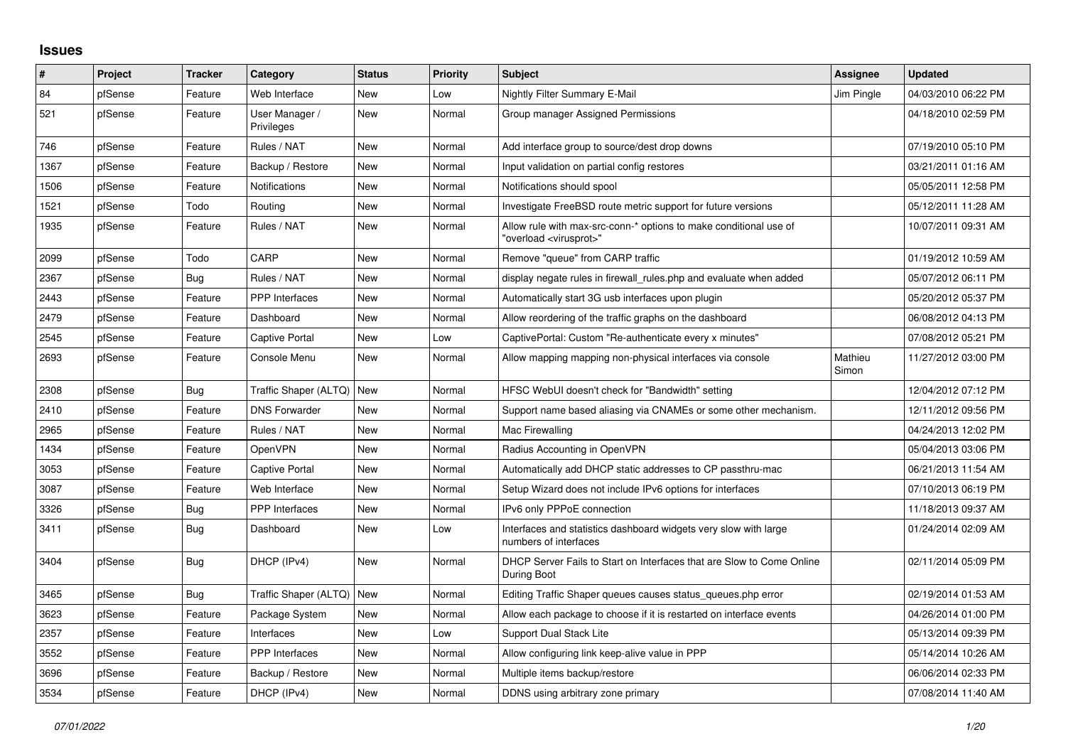## **Issues**

| ∦    | Project | <b>Tracker</b> | Category                     | <b>Status</b> | <b>Priority</b> | <b>Subject</b>                                                                                          | Assignee         | <b>Updated</b>      |
|------|---------|----------------|------------------------------|---------------|-----------------|---------------------------------------------------------------------------------------------------------|------------------|---------------------|
| 84   | pfSense | Feature        | Web Interface                | <b>New</b>    | Low             | <b>Nightly Filter Summary E-Mail</b>                                                                    | Jim Pingle       | 04/03/2010 06:22 PM |
| 521  | pfSense | Feature        | User Manager /<br>Privileges | <b>New</b>    | Normal          | Group manager Assigned Permissions                                                                      |                  | 04/18/2010 02:59 PM |
| 746  | pfSense | Feature        | Rules / NAT                  | <b>New</b>    | Normal          | Add interface group to source/dest drop downs                                                           |                  | 07/19/2010 05:10 PM |
| 1367 | pfSense | Feature        | Backup / Restore             | New           | Normal          | Input validation on partial config restores                                                             |                  | 03/21/2011 01:16 AM |
| 1506 | pfSense | Feature        | <b>Notifications</b>         | <b>New</b>    | Normal          | Notifications should spool                                                                              |                  | 05/05/2011 12:58 PM |
| 1521 | pfSense | Todo           | Routing                      | New           | Normal          | Investigate FreeBSD route metric support for future versions                                            |                  | 05/12/2011 11:28 AM |
| 1935 | pfSense | Feature        | Rules / NAT                  | <b>New</b>    | Normal          | Allow rule with max-src-conn-* options to make conditional use of<br>'overload <virusprot>"</virusprot> |                  | 10/07/2011 09:31 AM |
| 2099 | pfSense | Todo           | CARP                         | <b>New</b>    | Normal          | Remove "queue" from CARP traffic                                                                        |                  | 01/19/2012 10:59 AM |
| 2367 | pfSense | Bug            | Rules / NAT                  | New           | Normal          | display negate rules in firewall_rules.php and evaluate when added                                      |                  | 05/07/2012 06:11 PM |
| 2443 | pfSense | Feature        | PPP Interfaces               | <b>New</b>    | Normal          | Automatically start 3G usb interfaces upon plugin                                                       |                  | 05/20/2012 05:37 PM |
| 2479 | pfSense | Feature        | Dashboard                    | New           | Normal          | Allow reordering of the traffic graphs on the dashboard                                                 |                  | 06/08/2012 04:13 PM |
| 2545 | pfSense | Feature        | <b>Captive Portal</b>        | New           | Low             | CaptivePortal: Custom "Re-authenticate every x minutes"                                                 |                  | 07/08/2012 05:21 PM |
| 2693 | pfSense | Feature        | Console Menu                 | New           | Normal          | Allow mapping mapping non-physical interfaces via console                                               | Mathieu<br>Simon | 11/27/2012 03:00 PM |
| 2308 | pfSense | Bug            | Traffic Shaper (ALTQ)   New  |               | Normal          | HFSC WebUI doesn't check for "Bandwidth" setting                                                        |                  | 12/04/2012 07:12 PM |
| 2410 | pfSense | Feature        | <b>DNS Forwarder</b>         | <b>New</b>    | Normal          | Support name based aliasing via CNAMEs or some other mechanism.                                         |                  | 12/11/2012 09:56 PM |
| 2965 | pfSense | Feature        | Rules / NAT                  | New           | Normal          | Mac Firewalling                                                                                         |                  | 04/24/2013 12:02 PM |
| 1434 | pfSense | Feature        | <b>OpenVPN</b>               | <b>New</b>    | Normal          | Radius Accounting in OpenVPN                                                                            |                  | 05/04/2013 03:06 PM |
| 3053 | pfSense | Feature        | <b>Captive Portal</b>        | <b>New</b>    | Normal          | Automatically add DHCP static addresses to CP passthru-mac                                              |                  | 06/21/2013 11:54 AM |
| 3087 | pfSense | Feature        | Web Interface                | <b>New</b>    | Normal          | Setup Wizard does not include IPv6 options for interfaces                                               |                  | 07/10/2013 06:19 PM |
| 3326 | pfSense | <b>Bug</b>     | <b>PPP</b> Interfaces        | <b>New</b>    | Normal          | IPv6 only PPPoE connection                                                                              |                  | 11/18/2013 09:37 AM |
| 3411 | pfSense | Bug            | Dashboard                    | <b>New</b>    | Low             | Interfaces and statistics dashboard widgets very slow with large<br>numbers of interfaces               |                  | 01/24/2014 02:09 AM |
| 3404 | pfSense | Bug            | DHCP (IPv4)                  | <b>New</b>    | Normal          | DHCP Server Fails to Start on Interfaces that are Slow to Come Online<br>During Boot                    |                  | 02/11/2014 05:09 PM |
| 3465 | pfSense | Bug            | Traffic Shaper (ALTQ)   New  |               | Normal          | Editing Traffic Shaper queues causes status_queues.php error                                            |                  | 02/19/2014 01:53 AM |
| 3623 | pfSense | Feature        | Package System               | <b>New</b>    | Normal          | Allow each package to choose if it is restarted on interface events                                     |                  | 04/26/2014 01:00 PM |
| 2357 | pfSense | Feature        | Interfaces                   | New           | Low             | Support Dual Stack Lite                                                                                 |                  | 05/13/2014 09:39 PM |
| 3552 | pfSense | Feature        | PPP Interfaces               | <b>New</b>    | Normal          | Allow configuring link keep-alive value in PPP                                                          |                  | 05/14/2014 10:26 AM |
| 3696 | pfSense | Feature        | Backup / Restore             | <b>New</b>    | Normal          | Multiple items backup/restore                                                                           |                  | 06/06/2014 02:33 PM |
| 3534 | pfSense | Feature        | DHCP (IPv4)                  | New           | Normal          | DDNS using arbitrary zone primary                                                                       |                  | 07/08/2014 11:40 AM |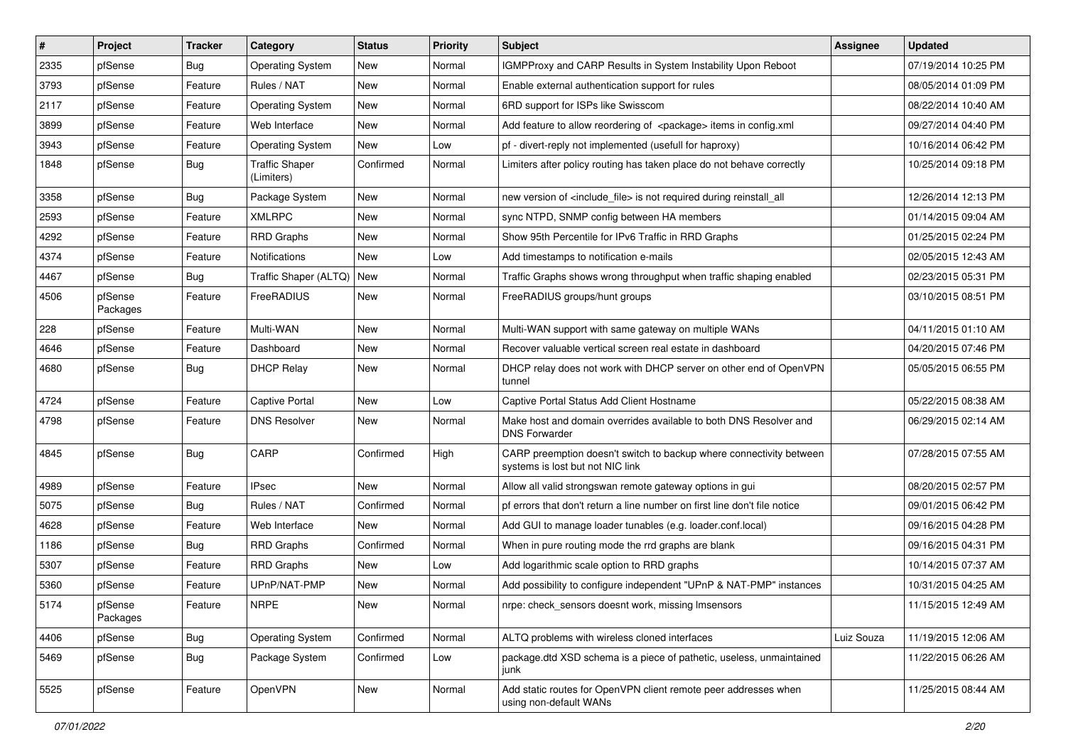| $\pmb{\sharp}$ | Project             | <b>Tracker</b> | Category                            | <b>Status</b> | <b>Priority</b> | <b>Subject</b>                                                                                          | <b>Assignee</b> | <b>Updated</b>      |
|----------------|---------------------|----------------|-------------------------------------|---------------|-----------------|---------------------------------------------------------------------------------------------------------|-----------------|---------------------|
| 2335           | pfSense             | Bug            | <b>Operating System</b>             | New           | Normal          | IGMPProxy and CARP Results in System Instability Upon Reboot                                            |                 | 07/19/2014 10:25 PM |
| 3793           | pfSense             | Feature        | Rules / NAT                         | New           | Normal          | Enable external authentication support for rules                                                        |                 | 08/05/2014 01:09 PM |
| 2117           | pfSense             | Feature        | <b>Operating System</b>             | New           | Normal          | 6RD support for ISPs like Swisscom                                                                      |                 | 08/22/2014 10:40 AM |
| 3899           | pfSense             | Feature        | Web Interface                       | New           | Normal          | Add feature to allow reordering of <package> items in config.xml</package>                              |                 | 09/27/2014 04:40 PM |
| 3943           | pfSense             | Feature        | <b>Operating System</b>             | New           | Low             | pf - divert-reply not implemented (usefull for haproxy)                                                 |                 | 10/16/2014 06:42 PM |
| 1848           | pfSense             | Bug            | <b>Traffic Shaper</b><br>(Limiters) | Confirmed     | Normal          | Limiters after policy routing has taken place do not behave correctly                                   |                 | 10/25/2014 09:18 PM |
| 3358           | pfSense             | Bug            | Package System                      | New           | Normal          | new version of <include file=""> is not required during reinstall all</include>                         |                 | 12/26/2014 12:13 PM |
| 2593           | pfSense             | Feature        | <b>XMLRPC</b>                       | New           | Normal          | sync NTPD, SNMP config between HA members                                                               |                 | 01/14/2015 09:04 AM |
| 4292           | pfSense             | Feature        | <b>RRD Graphs</b>                   | New           | Normal          | Show 95th Percentile for IPv6 Traffic in RRD Graphs                                                     |                 | 01/25/2015 02:24 PM |
| 4374           | pfSense             | Feature        | Notifications                       | New           | Low             | Add timestamps to notification e-mails                                                                  |                 | 02/05/2015 12:43 AM |
| 4467           | pfSense             | Bug            | Traffic Shaper (ALTQ)   New         |               | Normal          | Traffic Graphs shows wrong throughput when traffic shaping enabled                                      |                 | 02/23/2015 05:31 PM |
| 4506           | pfSense<br>Packages | Feature        | FreeRADIUS                          | New           | Normal          | FreeRADIUS groups/hunt groups                                                                           |                 | 03/10/2015 08:51 PM |
| 228            | pfSense             | Feature        | Multi-WAN                           | <b>New</b>    | Normal          | Multi-WAN support with same gateway on multiple WANs                                                    |                 | 04/11/2015 01:10 AM |
| 4646           | pfSense             | Feature        | Dashboard                           | <b>New</b>    | Normal          | Recover valuable vertical screen real estate in dashboard                                               |                 | 04/20/2015 07:46 PM |
| 4680           | pfSense             | Bug            | <b>DHCP Relay</b>                   | New           | Normal          | DHCP relay does not work with DHCP server on other end of OpenVPN<br>tunnel                             |                 | 05/05/2015 06:55 PM |
| 4724           | pfSense             | Feature        | Captive Portal                      | New           | Low             | Captive Portal Status Add Client Hostname                                                               |                 | 05/22/2015 08:38 AM |
| 4798           | pfSense             | Feature        | <b>DNS Resolver</b>                 | New           | Normal          | Make host and domain overrides available to both DNS Resolver and<br><b>DNS Forwarder</b>               |                 | 06/29/2015 02:14 AM |
| 4845           | pfSense             | Bug            | CARP                                | Confirmed     | High            | CARP preemption doesn't switch to backup where connectivity between<br>systems is lost but not NIC link |                 | 07/28/2015 07:55 AM |
| 4989           | pfSense             | Feature        | <b>IPsec</b>                        | <b>New</b>    | Normal          | Allow all valid strongswan remote gateway options in gui                                                |                 | 08/20/2015 02:57 PM |
| 5075           | pfSense             | Bug            | Rules / NAT                         | Confirmed     | Normal          | pf errors that don't return a line number on first line don't file notice                               |                 | 09/01/2015 06:42 PM |
| 4628           | pfSense             | Feature        | Web Interface                       | New           | Normal          | Add GUI to manage loader tunables (e.g. loader.conf.local)                                              |                 | 09/16/2015 04:28 PM |
| 1186           | pfSense             | Bug            | <b>RRD Graphs</b>                   | Confirmed     | Normal          | When in pure routing mode the rrd graphs are blank                                                      |                 | 09/16/2015 04:31 PM |
| 5307           | pfSense             | Feature        | <b>RRD Graphs</b>                   | New           | Low             | Add logarithmic scale option to RRD graphs                                                              |                 | 10/14/2015 07:37 AM |
| 5360           | pfSense             | Feature        | UPnP/NAT-PMP                        | New           | Normal          | Add possibility to configure independent "UPnP & NAT-PMP" instances                                     |                 | 10/31/2015 04:25 AM |
| 5174           | pfSense<br>Packages | Feature        | <b>NRPE</b>                         | New           | Normal          | nrpe: check_sensors doesnt work, missing Imsensors                                                      |                 | 11/15/2015 12:49 AM |
| 4406           | pfSense             | Bug            | <b>Operating System</b>             | Confirmed     | Normal          | ALTQ problems with wireless cloned interfaces                                                           | Luiz Souza      | 11/19/2015 12:06 AM |
| 5469           | pfSense             | <b>Bug</b>     | Package System                      | Confirmed     | Low             | package.dtd XSD schema is a piece of pathetic, useless, unmaintained<br>junk                            |                 | 11/22/2015 06:26 AM |
| 5525           | pfSense             | Feature        | OpenVPN                             | New           | Normal          | Add static routes for OpenVPN client remote peer addresses when<br>using non-default WANs               |                 | 11/25/2015 08:44 AM |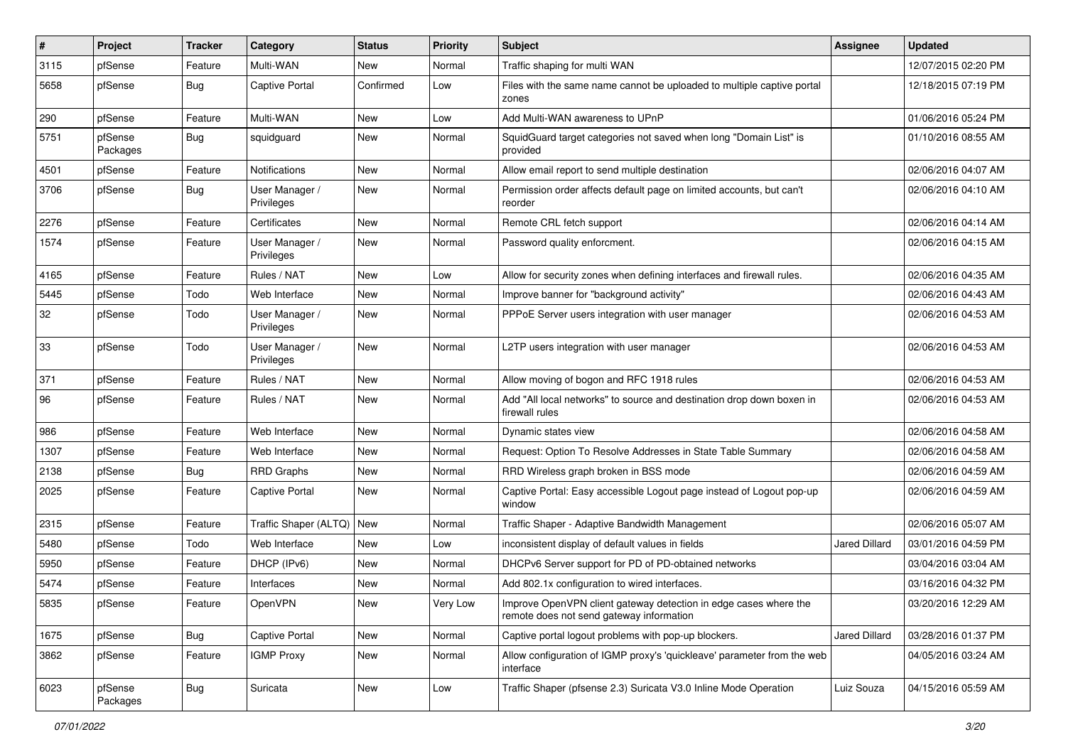| ∦    | Project             | <b>Tracker</b> | Category                     | <b>Status</b> | <b>Priority</b> | <b>Subject</b>                                                                                               | <b>Assignee</b>      | <b>Updated</b>      |
|------|---------------------|----------------|------------------------------|---------------|-----------------|--------------------------------------------------------------------------------------------------------------|----------------------|---------------------|
| 3115 | pfSense             | Feature        | Multi-WAN                    | New           | Normal          | Traffic shaping for multi WAN                                                                                |                      | 12/07/2015 02:20 PM |
| 5658 | pfSense             | <b>Bug</b>     | <b>Captive Portal</b>        | Confirmed     | Low             | Files with the same name cannot be uploaded to multiple captive portal<br>zones                              |                      | 12/18/2015 07:19 PM |
| 290  | pfSense             | Feature        | Multi-WAN                    | New           | Low             | Add Multi-WAN awareness to UPnP                                                                              |                      | 01/06/2016 05:24 PM |
| 5751 | pfSense<br>Packages | Bug            | squidguard                   | New           | Normal          | SquidGuard target categories not saved when long "Domain List" is<br>provided                                |                      | 01/10/2016 08:55 AM |
| 4501 | pfSense             | Feature        | Notifications                | New           | Normal          | Allow email report to send multiple destination                                                              |                      | 02/06/2016 04:07 AM |
| 3706 | pfSense             | Bug            | User Manager /<br>Privileges | New           | Normal          | Permission order affects default page on limited accounts, but can't<br>reorder                              |                      | 02/06/2016 04:10 AM |
| 2276 | pfSense             | Feature        | Certificates                 | <b>New</b>    | Normal          | Remote CRL fetch support                                                                                     |                      | 02/06/2016 04:14 AM |
| 1574 | pfSense             | Feature        | User Manager /<br>Privileges | New           | Normal          | Password quality enforcment.                                                                                 |                      | 02/06/2016 04:15 AM |
| 4165 | pfSense             | Feature        | Rules / NAT                  | New           | Low             | Allow for security zones when defining interfaces and firewall rules.                                        |                      | 02/06/2016 04:35 AM |
| 5445 | pfSense             | Todo           | Web Interface                | New           | Normal          | Improve banner for "background activity"                                                                     |                      | 02/06/2016 04:43 AM |
| 32   | pfSense             | Todo           | User Manager /<br>Privileges | New           | Normal          | PPPoE Server users integration with user manager                                                             |                      | 02/06/2016 04:53 AM |
| 33   | pfSense             | Todo           | User Manager /<br>Privileges | New           | Normal          | L2TP users integration with user manager                                                                     |                      | 02/06/2016 04:53 AM |
| 371  | pfSense             | Feature        | Rules / NAT                  | New           | Normal          | Allow moving of bogon and RFC 1918 rules                                                                     |                      | 02/06/2016 04:53 AM |
| 96   | pfSense             | Feature        | Rules / NAT                  | New           | Normal          | Add "All local networks" to source and destination drop down boxen in<br>firewall rules                      |                      | 02/06/2016 04:53 AM |
| 986  | pfSense             | Feature        | Web Interface                | New           | Normal          | Dynamic states view                                                                                          |                      | 02/06/2016 04:58 AM |
| 1307 | pfSense             | Feature        | Web Interface                | New           | Normal          | Request: Option To Resolve Addresses in State Table Summary                                                  |                      | 02/06/2016 04:58 AM |
| 2138 | pfSense             | <b>Bug</b>     | <b>RRD Graphs</b>            | New           | Normal          | RRD Wireless graph broken in BSS mode                                                                        |                      | 02/06/2016 04:59 AM |
| 2025 | pfSense             | Feature        | <b>Captive Portal</b>        | New           | Normal          | Captive Portal: Easy accessible Logout page instead of Logout pop-up<br>window                               |                      | 02/06/2016 04:59 AM |
| 2315 | pfSense             | Feature        | Traffic Shaper (ALTQ)   New  |               | Normal          | Traffic Shaper - Adaptive Bandwidth Management                                                               |                      | 02/06/2016 05:07 AM |
| 5480 | pfSense             | Todo           | Web Interface                | New           | Low             | inconsistent display of default values in fields                                                             | Jared Dillard        | 03/01/2016 04:59 PM |
| 5950 | pfSense             | Feature        | DHCP (IPv6)                  | New           | Normal          | DHCPv6 Server support for PD of PD-obtained networks                                                         |                      | 03/04/2016 03:04 AM |
| 5474 | pfSense             | Feature        | Interfaces                   | New           | Normal          | Add 802.1x configuration to wired interfaces.                                                                |                      | 03/16/2016 04:32 PM |
| 5835 | pfSense             | Feature        | OpenVPN                      | New           | Very Low        | Improve OpenVPN client gateway detection in edge cases where the<br>remote does not send gateway information |                      | 03/20/2016 12:29 AM |
| 1675 | pfSense             | Bug            | Captive Portal               | New           | Normal          | Captive portal logout problems with pop-up blockers.                                                         | <b>Jared Dillard</b> | 03/28/2016 01:37 PM |
| 3862 | pfSense             | Feature        | <b>IGMP Proxy</b>            | New           | Normal          | Allow configuration of IGMP proxy's 'quickleave' parameter from the web<br>interface                         |                      | 04/05/2016 03:24 AM |
| 6023 | pfSense<br>Packages | <b>Bug</b>     | Suricata                     | New           | Low             | Traffic Shaper (pfsense 2.3) Suricata V3.0 Inline Mode Operation                                             | Luiz Souza           | 04/15/2016 05:59 AM |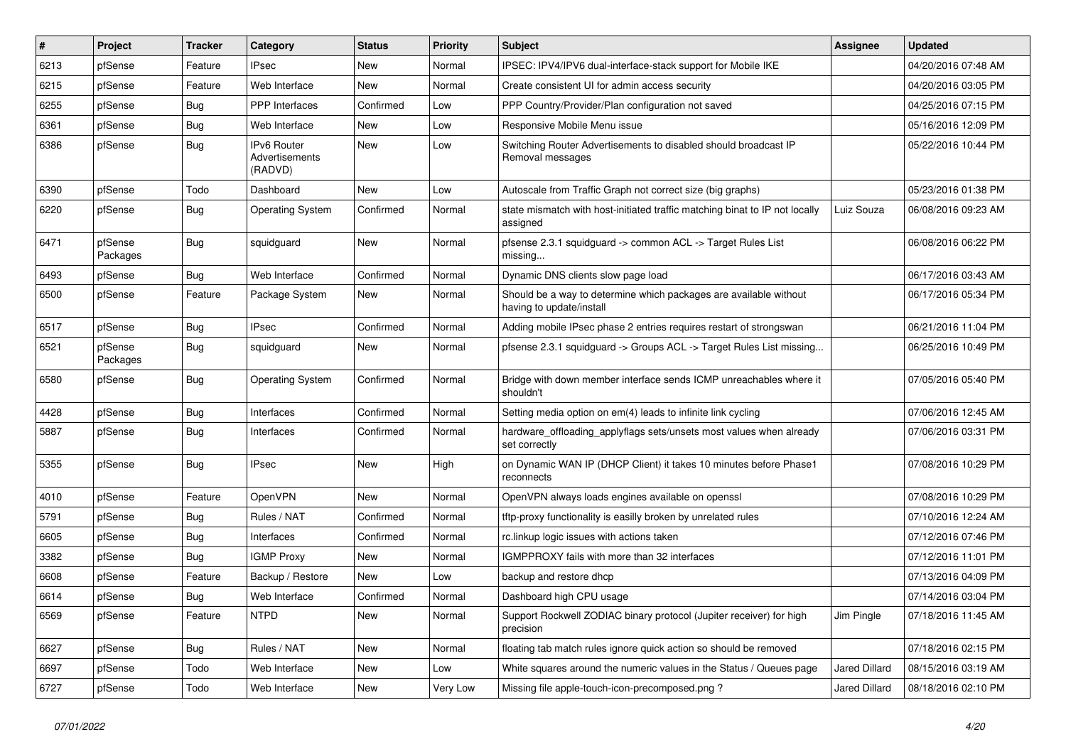| $\vert$ # | Project             | <b>Tracker</b> | Category                                        | <b>Status</b> | <b>Priority</b> | <b>Subject</b>                                                                                | Assignee             | <b>Updated</b>      |
|-----------|---------------------|----------------|-------------------------------------------------|---------------|-----------------|-----------------------------------------------------------------------------------------------|----------------------|---------------------|
| 6213      | pfSense             | Feature        | Psec                                            | New           | Normal          | IPSEC: IPV4/IPV6 dual-interface-stack support for Mobile IKE                                  |                      | 04/20/2016 07:48 AM |
| 6215      | pfSense             | Feature        | Web Interface                                   | <b>New</b>    | Normal          | Create consistent UI for admin access security                                                |                      | 04/20/2016 03:05 PM |
| 6255      | pfSense             | <b>Bug</b>     | <b>PPP</b> Interfaces                           | Confirmed     | Low             | PPP Country/Provider/Plan configuration not saved                                             |                      | 04/25/2016 07:15 PM |
| 6361      | pfSense             | Bug            | Web Interface                                   | New           | Low             | Responsive Mobile Menu issue                                                                  |                      | 05/16/2016 12:09 PM |
| 6386      | pfSense             | Bug            | <b>IPv6 Router</b><br>Advertisements<br>(RADVD) | New           | Low             | Switching Router Advertisements to disabled should broadcast IP<br>Removal messages           |                      | 05/22/2016 10:44 PM |
| 6390      | pfSense             | Todo           | Dashboard                                       | <b>New</b>    | Low             | Autoscale from Traffic Graph not correct size (big graphs)                                    |                      | 05/23/2016 01:38 PM |
| 6220      | pfSense             | <b>Bug</b>     | <b>Operating System</b>                         | Confirmed     | Normal          | state mismatch with host-initiated traffic matching binat to IP not locally<br>assigned       | Luiz Souza           | 06/08/2016 09:23 AM |
| 6471      | pfSense<br>Packages | Bug            | squidguard                                      | New           | Normal          | pfsense 2.3.1 squidguard -> common ACL -> Target Rules List<br>missing                        |                      | 06/08/2016 06:22 PM |
| 6493      | pfSense             | Bug            | Web Interface                                   | Confirmed     | Normal          | Dynamic DNS clients slow page load                                                            |                      | 06/17/2016 03:43 AM |
| 6500      | pfSense             | Feature        | Package System                                  | New           | Normal          | Should be a way to determine which packages are available without<br>having to update/install |                      | 06/17/2016 05:34 PM |
| 6517      | pfSense             | Bug            | <b>IPsec</b>                                    | Confirmed     | Normal          | Adding mobile IPsec phase 2 entries requires restart of strongswan                            |                      | 06/21/2016 11:04 PM |
| 6521      | pfSense<br>Packages | Bug            | squidguard                                      | New           | Normal          | pfsense 2.3.1 squidguard -> Groups ACL -> Target Rules List missing                           |                      | 06/25/2016 10:49 PM |
| 6580      | pfSense             | Bug            | <b>Operating System</b>                         | Confirmed     | Normal          | Bridge with down member interface sends ICMP unreachables where it<br>shouldn't               |                      | 07/05/2016 05:40 PM |
| 4428      | pfSense             | Bug            | Interfaces                                      | Confirmed     | Normal          | Setting media option on em(4) leads to infinite link cycling                                  |                      | 07/06/2016 12:45 AM |
| 5887      | pfSense             | Bug            | Interfaces                                      | Confirmed     | Normal          | hardware_offloading_applyflags sets/unsets most values when already<br>set correctly          |                      | 07/06/2016 03:31 PM |
| 5355      | pfSense             | Bug            | <b>IPsec</b>                                    | <b>New</b>    | High            | on Dynamic WAN IP (DHCP Client) it takes 10 minutes before Phase1<br>reconnects               |                      | 07/08/2016 10:29 PM |
| 4010      | pfSense             | Feature        | OpenVPN                                         | New           | Normal          | OpenVPN always loads engines available on openssl                                             |                      | 07/08/2016 10:29 PM |
| 5791      | pfSense             | Bug            | Rules / NAT                                     | Confirmed     | Normal          | tftp-proxy functionality is easilly broken by unrelated rules                                 |                      | 07/10/2016 12:24 AM |
| 6605      | pfSense             | Bug            | Interfaces                                      | Confirmed     | Normal          | rc.linkup logic issues with actions taken                                                     |                      | 07/12/2016 07:46 PM |
| 3382      | pfSense             | <b>Bug</b>     | <b>IGMP Proxy</b>                               | New           | Normal          | IGMPPROXY fails with more than 32 interfaces                                                  |                      | 07/12/2016 11:01 PM |
| 6608      | pfSense             | Feature        | Backup / Restore                                | New           | Low             | backup and restore dhcp                                                                       |                      | 07/13/2016 04:09 PM |
| 6614      | pfSense             | <b>Bug</b>     | Web Interface                                   | Confirmed     | Normal          | Dashboard high CPU usage                                                                      |                      | 07/14/2016 03:04 PM |
| 6569      | pfSense             | Feature        | <b>NTPD</b>                                     | New           | Normal          | Support Rockwell ZODIAC binary protocol (Jupiter receiver) for high<br>precision              | Jim Pingle           | 07/18/2016 11:45 AM |
| 6627      | pfSense             | <b>Bug</b>     | Rules / NAT                                     | New           | Normal          | floating tab match rules ignore quick action so should be removed                             |                      | 07/18/2016 02:15 PM |
| 6697      | pfSense             | Todo           | Web Interface                                   | New           | Low             | White squares around the numeric values in the Status / Queues page                           | <b>Jared Dillard</b> | 08/15/2016 03:19 AM |
| 6727      | pfSense             | Todo           | Web Interface                                   | New           | Very Low        | Missing file apple-touch-icon-precomposed.png?                                                | Jared Dillard        | 08/18/2016 02:10 PM |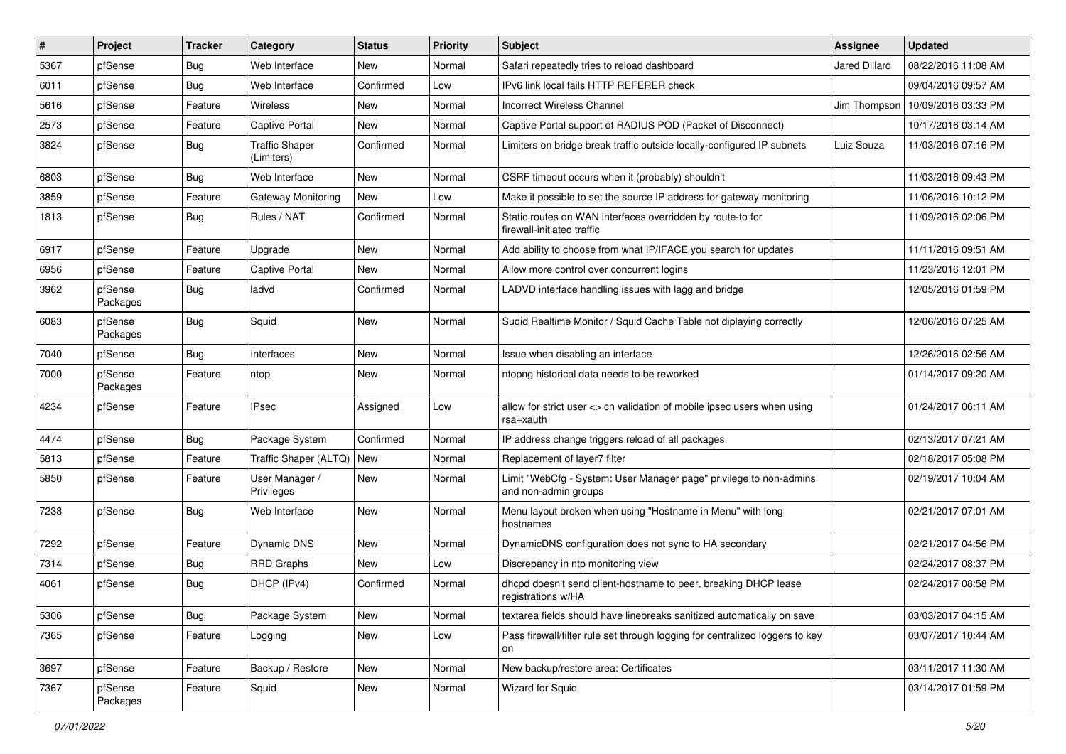| $\vert$ # | Project             | <b>Tracker</b> | Category                            | <b>Status</b> | Priority | Subject                                                                                    | Assignee             | <b>Updated</b>      |
|-----------|---------------------|----------------|-------------------------------------|---------------|----------|--------------------------------------------------------------------------------------------|----------------------|---------------------|
| 5367      | pfSense             | <b>Bug</b>     | Web Interface                       | New           | Normal   | Safari repeatedly tries to reload dashboard                                                | <b>Jared Dillard</b> | 08/22/2016 11:08 AM |
| 6011      | pfSense             | Bug            | Web Interface                       | Confirmed     | Low      | IPv6 link local fails HTTP REFERER check                                                   |                      | 09/04/2016 09:57 AM |
| 5616      | pfSense             | Feature        | <b>Wireless</b>                     | New           | Normal   | <b>Incorrect Wireless Channel</b>                                                          | Jim Thompson         | 10/09/2016 03:33 PM |
| 2573      | pfSense             | Feature        | Captive Portal                      | New           | Normal   | Captive Portal support of RADIUS POD (Packet of Disconnect)                                |                      | 10/17/2016 03:14 AM |
| 3824      | pfSense             | <b>Bug</b>     | <b>Traffic Shaper</b><br>(Limiters) | Confirmed     | Normal   | Limiters on bridge break traffic outside locally-configured IP subnets                     | Luiz Souza           | 11/03/2016 07:16 PM |
| 6803      | pfSense             | Bug            | Web Interface                       | New           | Normal   | CSRF timeout occurs when it (probably) shouldn't                                           |                      | 11/03/2016 09:43 PM |
| 3859      | pfSense             | Feature        | <b>Gateway Monitoring</b>           | <b>New</b>    | Low      | Make it possible to set the source IP address for gateway monitoring                       |                      | 11/06/2016 10:12 PM |
| 1813      | pfSense             | Bug            | Rules / NAT                         | Confirmed     | Normal   | Static routes on WAN interfaces overridden by route-to for<br>firewall-initiated traffic   |                      | 11/09/2016 02:06 PM |
| 6917      | pfSense             | Feature        | Upgrade                             | New           | Normal   | Add ability to choose from what IP/IFACE you search for updates                            |                      | 11/11/2016 09:51 AM |
| 6956      | pfSense             | Feature        | Captive Portal                      | New           | Normal   | Allow more control over concurrent logins                                                  |                      | 11/23/2016 12:01 PM |
| 3962      | pfSense<br>Packages | Bug            | ladvd                               | Confirmed     | Normal   | LADVD interface handling issues with lagg and bridge                                       |                      | 12/05/2016 01:59 PM |
| 6083      | pfSense<br>Packages | Bug            | Squid                               | New           | Normal   | Sugid Realtime Monitor / Squid Cache Table not diplaying correctly                         |                      | 12/06/2016 07:25 AM |
| 7040      | pfSense             | Bug            | Interfaces                          | New           | Normal   | Issue when disabling an interface                                                          |                      | 12/26/2016 02:56 AM |
| 7000      | pfSense<br>Packages | Feature        | ntop                                | New           | Normal   | ntopng historical data needs to be reworked                                                |                      | 01/14/2017 09:20 AM |
| 4234      | pfSense             | Feature        | IPsec                               | Assigned      | Low      | allow for strict user <> cn validation of mobile ipsec users when using<br>rsa+xauth       |                      | 01/24/2017 06:11 AM |
| 4474      | pfSense             | <b>Bug</b>     | Package System                      | Confirmed     | Normal   | IP address change triggers reload of all packages                                          |                      | 02/13/2017 07:21 AM |
| 5813      | pfSense             | Feature        | Traffic Shaper (ALTQ)   New         |               | Normal   | Replacement of layer7 filter                                                               |                      | 02/18/2017 05:08 PM |
| 5850      | pfSense             | Feature        | User Manager /<br>Privileges        | New           | Normal   | Limit "WebCfg - System: User Manager page" privilege to non-admins<br>and non-admin groups |                      | 02/19/2017 10:04 AM |
| 7238      | pfSense             | Bug            | Web Interface                       | New           | Normal   | Menu layout broken when using "Hostname in Menu" with long<br>hostnames                    |                      | 02/21/2017 07:01 AM |
| 7292      | pfSense             | Feature        | Dynamic DNS                         | New           | Normal   | DynamicDNS configuration does not sync to HA secondary                                     |                      | 02/21/2017 04:56 PM |
| 7314      | pfSense             | <b>Bug</b>     | <b>RRD Graphs</b>                   | New           | Low      | Discrepancy in ntp monitoring view                                                         |                      | 02/24/2017 08:37 PM |
| 4061      | pfSense             | Bug            | DHCP (IPv4)                         | Confirmed     | Normal   | dhcpd doesn't send client-hostname to peer, breaking DHCP lease<br>registrations w/HA      |                      | 02/24/2017 08:58 PM |
| 5306      | pfSense             | <b>Bug</b>     | Package System                      | New           | Normal   | textarea fields should have linebreaks sanitized automatically on save                     |                      | 03/03/2017 04:15 AM |
| 7365      | pfSense             | Feature        | Logging                             | New           | Low      | Pass firewall/filter rule set through logging for centralized loggers to key<br>on         |                      | 03/07/2017 10:44 AM |
| 3697      | pfSense             | Feature        | Backup / Restore                    | New           | Normal   | New backup/restore area: Certificates                                                      |                      | 03/11/2017 11:30 AM |
| 7367      | pfSense<br>Packages | Feature        | Squid                               | New           | Normal   | Wizard for Squid                                                                           |                      | 03/14/2017 01:59 PM |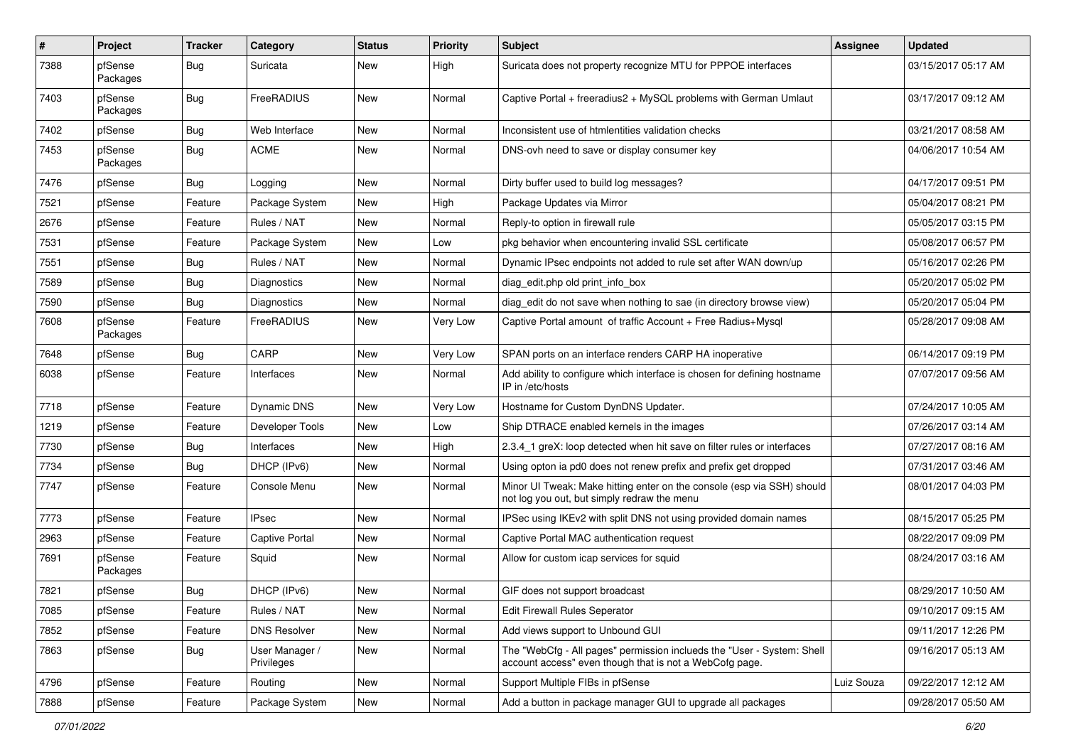| $\vert$ # | Project             | <b>Tracker</b> | Category                     | <b>Status</b> | <b>Priority</b> | <b>Subject</b>                                                                                                                    | Assignee   | <b>Updated</b>      |
|-----------|---------------------|----------------|------------------------------|---------------|-----------------|-----------------------------------------------------------------------------------------------------------------------------------|------------|---------------------|
| 7388      | pfSense<br>Packages | Bug            | Suricata                     | New           | High            | Suricata does not property recognize MTU for PPPOE interfaces                                                                     |            | 03/15/2017 05:17 AM |
| 7403      | pfSense<br>Packages | Bug            | FreeRADIUS                   | New           | Normal          | Captive Portal + freeradius2 + MySQL problems with German Umlaut                                                                  |            | 03/17/2017 09:12 AM |
| 7402      | pfSense             | Bug            | Web Interface                | New           | Normal          | Inconsistent use of htmlentities validation checks                                                                                |            | 03/21/2017 08:58 AM |
| 7453      | pfSense<br>Packages | Bug            | <b>ACME</b>                  | New           | Normal          | DNS-ovh need to save or display consumer key                                                                                      |            | 04/06/2017 10:54 AM |
| 7476      | pfSense             | Bug            | Logging                      | <b>New</b>    | Normal          | Dirty buffer used to build log messages?                                                                                          |            | 04/17/2017 09:51 PM |
| 7521      | pfSense             | Feature        | Package System               | New           | High            | Package Updates via Mirror                                                                                                        |            | 05/04/2017 08:21 PM |
| 2676      | pfSense             | Feature        | Rules / NAT                  | <b>New</b>    | Normal          | Reply-to option in firewall rule                                                                                                  |            | 05/05/2017 03:15 PM |
| 7531      | pfSense             | Feature        | Package System               | New           | Low             | pkg behavior when encountering invalid SSL certificate                                                                            |            | 05/08/2017 06:57 PM |
| 7551      | pfSense             | Bug            | Rules / NAT                  | New           | Normal          | Dynamic IPsec endpoints not added to rule set after WAN down/up                                                                   |            | 05/16/2017 02:26 PM |
| 7589      | pfSense             | Bug            | Diagnostics                  | New           | Normal          | diag edit.php old print info box                                                                                                  |            | 05/20/2017 05:02 PM |
| 7590      | pfSense             | <b>Bug</b>     | Diagnostics                  | New           | Normal          | diag edit do not save when nothing to sae (in directory browse view)                                                              |            | 05/20/2017 05:04 PM |
| 7608      | pfSense<br>Packages | Feature        | FreeRADIUS                   | New           | Very Low        | Captive Portal amount of traffic Account + Free Radius+Mysql                                                                      |            | 05/28/2017 09:08 AM |
| 7648      | pfSense             | Bug            | CARP                         | New           | Very Low        | SPAN ports on an interface renders CARP HA inoperative                                                                            |            | 06/14/2017 09:19 PM |
| 6038      | pfSense             | Feature        | Interfaces                   | New           | Normal          | Add ability to configure which interface is chosen for defining hostname<br>IP in /etc/hosts                                      |            | 07/07/2017 09:56 AM |
| 7718      | pfSense             | Feature        | Dynamic DNS                  | New           | Very Low        | Hostname for Custom DynDNS Updater.                                                                                               |            | 07/24/2017 10:05 AM |
| 1219      | pfSense             | Feature        | Developer Tools              | New           | Low             | Ship DTRACE enabled kernels in the images                                                                                         |            | 07/26/2017 03:14 AM |
| 7730      | pfSense             | <b>Bug</b>     | Interfaces                   | New           | High            | 2.3.4 1 greX: loop detected when hit save on filter rules or interfaces                                                           |            | 07/27/2017 08:16 AM |
| 7734      | pfSense             | Bug            | DHCP (IPv6)                  | New           | Normal          | Using opton ia pd0 does not renew prefix and prefix get dropped                                                                   |            | 07/31/2017 03:46 AM |
| 7747      | pfSense             | Feature        | Console Menu                 | New           | Normal          | Minor UI Tweak: Make hitting enter on the console (esp via SSH) should<br>not log you out, but simply redraw the menu             |            | 08/01/2017 04:03 PM |
| 7773      | pfSense             | Feature        | <b>IPsec</b>                 | New           | Normal          | IPSec using IKEv2 with split DNS not using provided domain names                                                                  |            | 08/15/2017 05:25 PM |
| 2963      | pfSense             | Feature        | <b>Captive Portal</b>        | New           | Normal          | Captive Portal MAC authentication request                                                                                         |            | 08/22/2017 09:09 PM |
| 7691      | pfSense<br>Packages | Feature        | Squid                        | New           | Normal          | Allow for custom icap services for squid                                                                                          |            | 08/24/2017 03:16 AM |
| 7821      | pfSense             | Bug            | DHCP (IPv6)                  | New           | Normal          | GIF does not support broadcast                                                                                                    |            | 08/29/2017 10:50 AM |
| 7085      | pfSense             | Feature        | Rules / NAT                  | New           | Normal          | Edit Firewall Rules Seperator                                                                                                     |            | 09/10/2017 09:15 AM |
| 7852      | pfSense             | Feature        | <b>DNS Resolver</b>          | New           | Normal          | Add views support to Unbound GUI                                                                                                  |            | 09/11/2017 12:26 PM |
| 7863      | pfSense             | <b>Bug</b>     | User Manager /<br>Privileges | New           | Normal          | The "WebCfg - All pages" permission inclueds the "User - System: Shell<br>account access" even though that is not a WebCofg page. |            | 09/16/2017 05:13 AM |
| 4796      | pfSense             | Feature        | Routing                      | New           | Normal          | Support Multiple FIBs in pfSense                                                                                                  | Luiz Souza | 09/22/2017 12:12 AM |
| 7888      | pfSense             | Feature        | Package System               | New           | Normal          | Add a button in package manager GUI to upgrade all packages                                                                       |            | 09/28/2017 05:50 AM |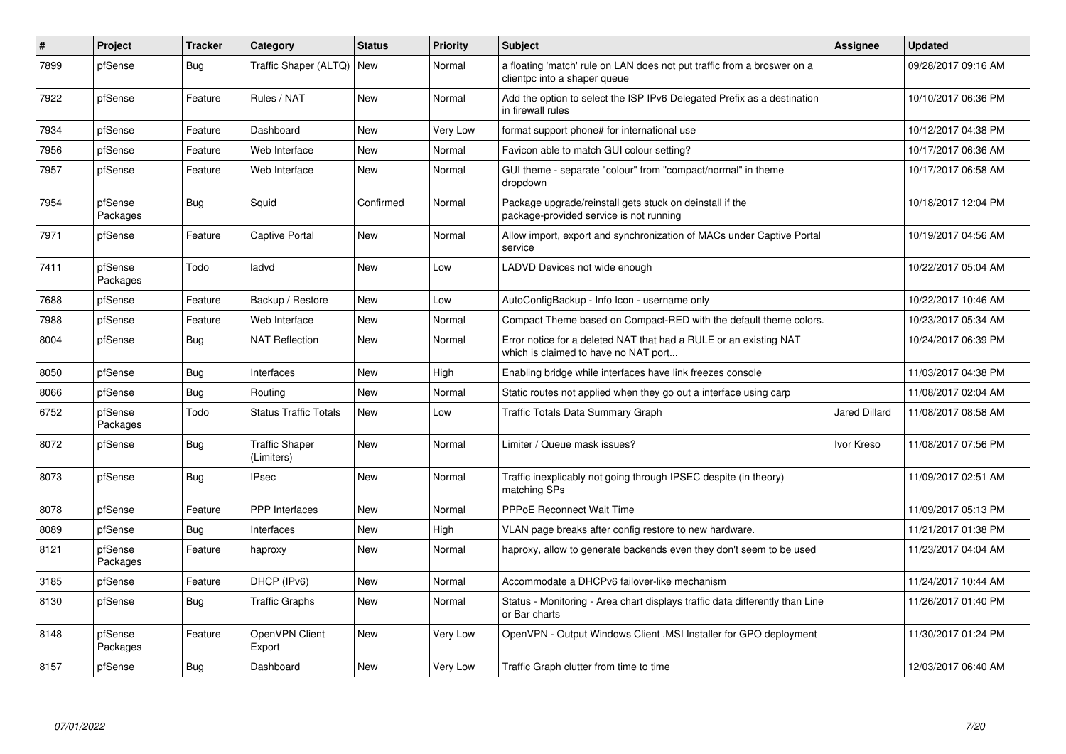| ∦    | Project             | <b>Tracker</b> | Category                            | <b>Status</b> | <b>Priority</b> | Subject                                                                                                   | <b>Assignee</b>      | <b>Updated</b>      |
|------|---------------------|----------------|-------------------------------------|---------------|-----------------|-----------------------------------------------------------------------------------------------------------|----------------------|---------------------|
| 7899 | pfSense             | Bug            | Traffic Shaper (ALTQ)               | <b>New</b>    | Normal          | a floating 'match' rule on LAN does not put traffic from a broswer on a<br>clientpc into a shaper queue   |                      | 09/28/2017 09:16 AM |
| 7922 | pfSense             | Feature        | Rules / NAT                         | <b>New</b>    | Normal          | Add the option to select the ISP IPv6 Delegated Prefix as a destination<br>in firewall rules              |                      | 10/10/2017 06:36 PM |
| 7934 | pfSense             | Feature        | Dashboard                           | New           | Very Low        | format support phone# for international use                                                               |                      | 10/12/2017 04:38 PM |
| 7956 | pfSense             | Feature        | Web Interface                       | New           | Normal          | Favicon able to match GUI colour setting?                                                                 |                      | 10/17/2017 06:36 AM |
| 7957 | pfSense             | Feature        | Web Interface                       | New           | Normal          | GUI theme - separate "colour" from "compact/normal" in theme<br>dropdown                                  |                      | 10/17/2017 06:58 AM |
| 7954 | pfSense<br>Packages | Bug            | Squid                               | Confirmed     | Normal          | Package upgrade/reinstall gets stuck on deinstall if the<br>package-provided service is not running       |                      | 10/18/2017 12:04 PM |
| 7971 | pfSense             | Feature        | <b>Captive Portal</b>               | New           | Normal          | Allow import, export and synchronization of MACs under Captive Portal<br>service                          |                      | 10/19/2017 04:56 AM |
| 7411 | pfSense<br>Packages | Todo           | ladvd                               | <b>New</b>    | Low             | LADVD Devices not wide enough                                                                             |                      | 10/22/2017 05:04 AM |
| 7688 | pfSense             | Feature        | Backup / Restore                    | <b>New</b>    | Low             | AutoConfigBackup - Info Icon - username only                                                              |                      | 10/22/2017 10:46 AM |
| 7988 | pfSense             | Feature        | Web Interface                       | New           | Normal          | Compact Theme based on Compact-RED with the default theme colors.                                         |                      | 10/23/2017 05:34 AM |
| 8004 | pfSense             | Bug            | <b>NAT Reflection</b>               | <b>New</b>    | Normal          | Error notice for a deleted NAT that had a RULE or an existing NAT<br>which is claimed to have no NAT port |                      | 10/24/2017 06:39 PM |
| 8050 | pfSense             | Bug            | Interfaces                          | <b>New</b>    | High            | Enabling bridge while interfaces have link freezes console                                                |                      | 11/03/2017 04:38 PM |
| 8066 | pfSense             | Bug            | Routing                             | <b>New</b>    | Normal          | Static routes not applied when they go out a interface using carp                                         |                      | 11/08/2017 02:04 AM |
| 6752 | pfSense<br>Packages | Todo           | <b>Status Traffic Totals</b>        | New           | Low             | Traffic Totals Data Summary Graph                                                                         | <b>Jared Dillard</b> | 11/08/2017 08:58 AM |
| 8072 | pfSense             | Bug            | <b>Traffic Shaper</b><br>(Limiters) | New           | Normal          | Limiter / Queue mask issues?                                                                              | Ivor Kreso           | 11/08/2017 07:56 PM |
| 8073 | pfSense             | Bug            | <b>IPsec</b>                        | New           | Normal          | Traffic inexplicably not going through IPSEC despite (in theory)<br>matching SPs                          |                      | 11/09/2017 02:51 AM |
| 8078 | pfSense             | Feature        | <b>PPP</b> Interfaces               | New           | Normal          | <b>PPPoE Reconnect Wait Time</b>                                                                          |                      | 11/09/2017 05:13 PM |
| 8089 | pfSense             | Bug            | Interfaces                          | <b>New</b>    | High            | VLAN page breaks after config restore to new hardware.                                                    |                      | 11/21/2017 01:38 PM |
| 8121 | pfSense<br>Packages | Feature        | haproxy                             | New           | Normal          | haproxy, allow to generate backends even they don't seem to be used                                       |                      | 11/23/2017 04:04 AM |
| 3185 | pfSense             | Feature        | DHCP (IPv6)                         | <b>New</b>    | Normal          | Accommodate a DHCPv6 failover-like mechanism                                                              |                      | 11/24/2017 10:44 AM |
| 8130 | pfSense             | <b>Bug</b>     | <b>Traffic Graphs</b>               | New           | Normal          | Status - Monitoring - Area chart displays traffic data differently than Line<br>or Bar charts             |                      | 11/26/2017 01:40 PM |
| 8148 | pfSense<br>Packages | Feature        | OpenVPN Client<br>Export            | <b>New</b>    | Very Low        | OpenVPN - Output Windows Client .MSI Installer for GPO deployment                                         |                      | 11/30/2017 01:24 PM |
| 8157 | pfSense             | <b>Bug</b>     | Dashboard                           | <b>New</b>    | Very Low        | Traffic Graph clutter from time to time                                                                   |                      | 12/03/2017 06:40 AM |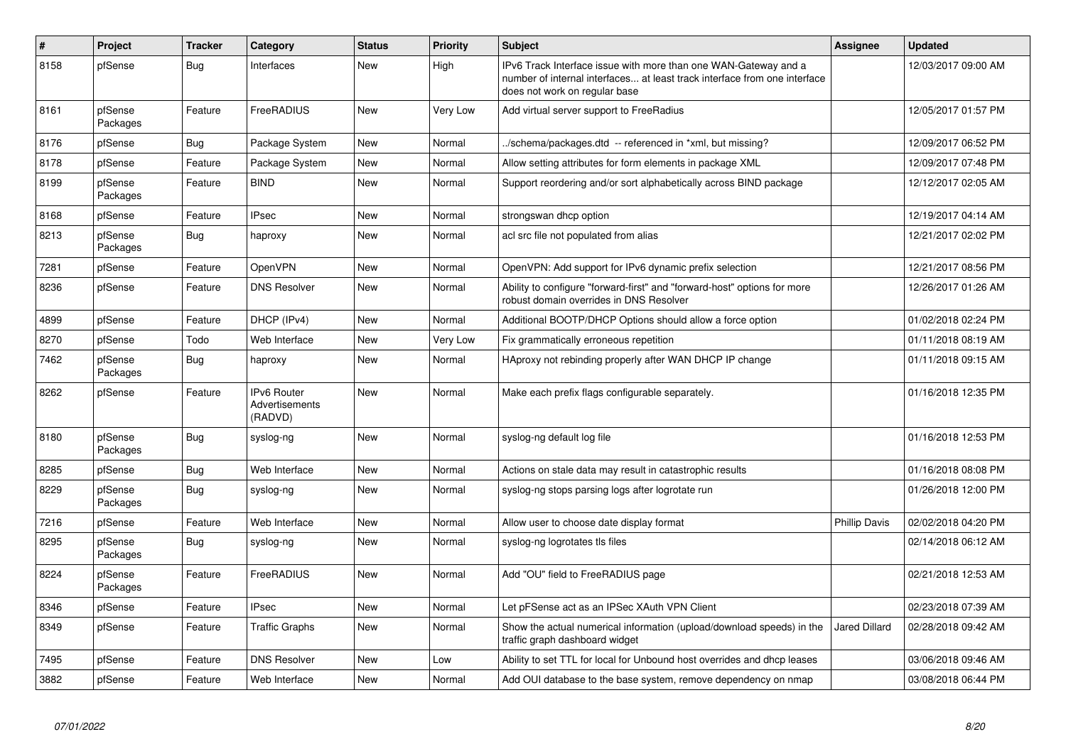| #    | Project             | <b>Tracker</b> | Category                                 | <b>Status</b> | <b>Priority</b> | <b>Subject</b>                                                                                                                                                                | Assignee             | <b>Updated</b>      |
|------|---------------------|----------------|------------------------------------------|---------------|-----------------|-------------------------------------------------------------------------------------------------------------------------------------------------------------------------------|----------------------|---------------------|
| 8158 | pfSense             | Bug            | Interfaces                               | <b>New</b>    | High            | IPv6 Track Interface issue with more than one WAN-Gateway and a<br>number of internal interfaces at least track interface from one interface<br>does not work on regular base |                      | 12/03/2017 09:00 AM |
| 8161 | pfSense<br>Packages | Feature        | FreeRADIUS                               | New           | Very Low        | Add virtual server support to FreeRadius                                                                                                                                      |                      | 12/05/2017 01:57 PM |
| 8176 | pfSense             | Bug            | Package System                           | New           | Normal          | ./schema/packages.dtd -- referenced in *xml, but missing?                                                                                                                     |                      | 12/09/2017 06:52 PM |
| 8178 | pfSense             | Feature        | Package System                           | <b>New</b>    | Normal          | Allow setting attributes for form elements in package XML                                                                                                                     |                      | 12/09/2017 07:48 PM |
| 8199 | pfSense<br>Packages | Feature        | <b>BIND</b>                              | New           | Normal          | Support reordering and/or sort alphabetically across BIND package                                                                                                             |                      | 12/12/2017 02:05 AM |
| 8168 | pfSense             | Feature        | <b>IPsec</b>                             | <b>New</b>    | Normal          | strongswan dhcp option                                                                                                                                                        |                      | 12/19/2017 04:14 AM |
| 8213 | pfSense<br>Packages | Bug            | haproxy                                  | New           | Normal          | acl src file not populated from alias                                                                                                                                         |                      | 12/21/2017 02:02 PM |
| 7281 | pfSense             | Feature        | OpenVPN                                  | <b>New</b>    | Normal          | OpenVPN: Add support for IPv6 dynamic prefix selection                                                                                                                        |                      | 12/21/2017 08:56 PM |
| 8236 | pfSense             | Feature        | <b>DNS Resolver</b>                      | <b>New</b>    | Normal          | Ability to configure "forward-first" and "forward-host" options for more<br>robust domain overrides in DNS Resolver                                                           |                      | 12/26/2017 01:26 AM |
| 4899 | pfSense             | Feature        | DHCP (IPv4)                              | <b>New</b>    | Normal          | Additional BOOTP/DHCP Options should allow a force option                                                                                                                     |                      | 01/02/2018 02:24 PM |
| 8270 | pfSense             | Todo           | Web Interface                            | New           | Very Low        | Fix grammatically erroneous repetition                                                                                                                                        |                      | 01/11/2018 08:19 AM |
| 7462 | pfSense<br>Packages | <b>Bug</b>     | haproxy                                  | New           | Normal          | HAproxy not rebinding properly after WAN DHCP IP change                                                                                                                       |                      | 01/11/2018 09:15 AM |
| 8262 | pfSense             | Feature        | IPv6 Router<br>Advertisements<br>(RADVD) | New           | Normal          | Make each prefix flags configurable separately.                                                                                                                               |                      | 01/16/2018 12:35 PM |
| 8180 | pfSense<br>Packages | Bug            | syslog-ng                                | <b>New</b>    | Normal          | syslog-ng default log file                                                                                                                                                    |                      | 01/16/2018 12:53 PM |
| 8285 | pfSense             | <b>Bug</b>     | Web Interface                            | New           | Normal          | Actions on stale data may result in catastrophic results                                                                                                                      |                      | 01/16/2018 08:08 PM |
| 8229 | pfSense<br>Packages | Bug            | syslog-ng                                | New           | Normal          | syslog-ng stops parsing logs after logrotate run                                                                                                                              |                      | 01/26/2018 12:00 PM |
| 7216 | pfSense             | Feature        | Web Interface                            | <b>New</b>    | Normal          | Allow user to choose date display format                                                                                                                                      | <b>Phillip Davis</b> | 02/02/2018 04:20 PM |
| 8295 | pfSense<br>Packages | <b>Bug</b>     | syslog-ng                                | <b>New</b>    | Normal          | syslog-ng logrotates tls files                                                                                                                                                |                      | 02/14/2018 06:12 AM |
| 8224 | pfSense<br>Packages | Feature        | FreeRADIUS                               | <b>New</b>    | Normal          | Add "OU" field to FreeRADIUS page                                                                                                                                             |                      | 02/21/2018 12:53 AM |
| 8346 | pfSense             | Feature        | <b>IPsec</b>                             | <b>New</b>    | Normal          | Let pFSense act as an IPSec XAuth VPN Client                                                                                                                                  |                      | 02/23/2018 07:39 AM |
| 8349 | pfSense             | Feature        | <b>Traffic Graphs</b>                    | New           | Normal          | Show the actual numerical information (upload/download speeds) in the<br>traffic graph dashboard widget                                                                       | <b>Jared Dillard</b> | 02/28/2018 09:42 AM |
| 7495 | pfSense             | Feature        | <b>DNS Resolver</b>                      | New           | Low             | Ability to set TTL for local for Unbound host overrides and dhcp leases                                                                                                       |                      | 03/06/2018 09:46 AM |
| 3882 | pfSense             | Feature        | Web Interface                            | New           | Normal          | Add OUI database to the base system, remove dependency on nmap                                                                                                                |                      | 03/08/2018 06:44 PM |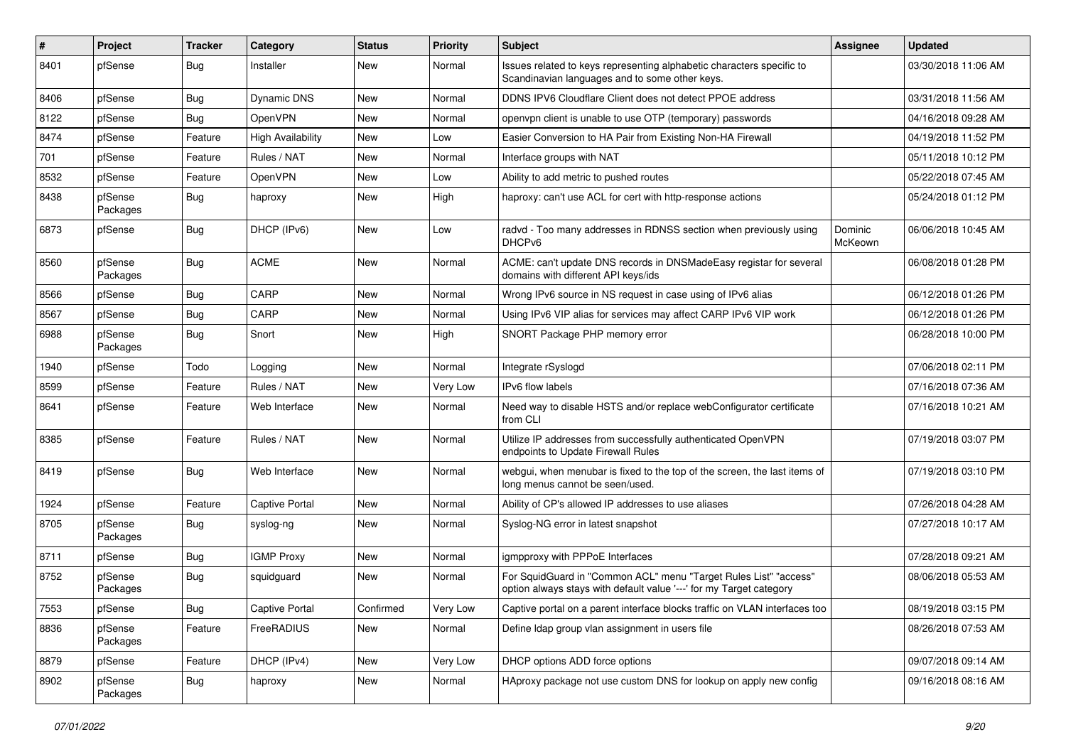| $\vert$ # | Project             | <b>Tracker</b> | Category                 | <b>Status</b> | <b>Priority</b> | <b>Subject</b>                                                                                                                          | <b>Assignee</b>    | <b>Updated</b>      |
|-----------|---------------------|----------------|--------------------------|---------------|-----------------|-----------------------------------------------------------------------------------------------------------------------------------------|--------------------|---------------------|
| 8401      | pfSense             | Bug            | Installer                | New           | Normal          | Issues related to keys representing alphabetic characters specific to<br>Scandinavian languages and to some other keys.                 |                    | 03/30/2018 11:06 AM |
| 8406      | pfSense             | Bug            | Dynamic DNS              | New           | Normal          | DDNS IPV6 Cloudflare Client does not detect PPOE address                                                                                |                    | 03/31/2018 11:56 AM |
| 8122      | pfSense             | Bug            | OpenVPN                  | New           | Normal          | openypn client is unable to use OTP (temporary) passwords                                                                               |                    | 04/16/2018 09:28 AM |
| 8474      | pfSense             | Feature        | <b>High Availability</b> | New           | Low             | Easier Conversion to HA Pair from Existing Non-HA Firewall                                                                              |                    | 04/19/2018 11:52 PM |
| 701       | pfSense             | Feature        | Rules / NAT              | New           | Normal          | Interface groups with NAT                                                                                                               |                    | 05/11/2018 10:12 PM |
| 8532      | pfSense             | Feature        | OpenVPN                  | New           | Low             | Ability to add metric to pushed routes                                                                                                  |                    | 05/22/2018 07:45 AM |
| 8438      | pfSense<br>Packages | Bug            | haproxy                  | New           | High            | haproxy: can't use ACL for cert with http-response actions                                                                              |                    | 05/24/2018 01:12 PM |
| 6873      | pfSense             | Bug            | DHCP (IPv6)              | New           | Low             | radvd - Too many addresses in RDNSS section when previously using<br>DHCP <sub>v6</sub>                                                 | Dominic<br>McKeown | 06/06/2018 10:45 AM |
| 8560      | pfSense<br>Packages | Bug            | <b>ACME</b>              | <b>New</b>    | Normal          | ACME: can't update DNS records in DNSMadeEasy registar for several<br>domains with different API keys/ids                               |                    | 06/08/2018 01:28 PM |
| 8566      | pfSense             | Bug            | CARP                     | New           | Normal          | Wrong IPv6 source in NS request in case using of IPv6 alias                                                                             |                    | 06/12/2018 01:26 PM |
| 8567      | pfSense             | Bug            | CARP                     | New           | Normal          | Using IPv6 VIP alias for services may affect CARP IPv6 VIP work                                                                         |                    | 06/12/2018 01:26 PM |
| 6988      | pfSense<br>Packages | <b>Bug</b>     | Snort                    | New           | High            | SNORT Package PHP memory error                                                                                                          |                    | 06/28/2018 10:00 PM |
| 1940      | pfSense             | Todo           | Logging                  | New           | Normal          | Integrate rSyslogd                                                                                                                      |                    | 07/06/2018 02:11 PM |
| 8599      | pfSense             | Feature        | Rules / NAT              | New           | Very Low        | IPv6 flow labels                                                                                                                        |                    | 07/16/2018 07:36 AM |
| 8641      | pfSense             | Feature        | Web Interface            | New           | Normal          | Need way to disable HSTS and/or replace webConfigurator certificate<br>from CLI                                                         |                    | 07/16/2018 10:21 AM |
| 8385      | pfSense             | Feature        | Rules / NAT              | New           | Normal          | Utilize IP addresses from successfully authenticated OpenVPN<br>endpoints to Update Firewall Rules                                      |                    | 07/19/2018 03:07 PM |
| 8419      | pfSense             | Bug            | Web Interface            | New           | Normal          | webgui, when menubar is fixed to the top of the screen, the last items of<br>long menus cannot be seen/used.                            |                    | 07/19/2018 03:10 PM |
| 1924      | pfSense             | Feature        | <b>Captive Portal</b>    | New           | Normal          | Ability of CP's allowed IP addresses to use aliases                                                                                     |                    | 07/26/2018 04:28 AM |
| 8705      | pfSense<br>Packages | Bug            | syslog-ng                | <b>New</b>    | Normal          | Syslog-NG error in latest snapshot                                                                                                      |                    | 07/27/2018 10:17 AM |
| 8711      | pfSense             | <b>Bug</b>     | <b>IGMP Proxy</b>        | New           | Normal          | igmpproxy with PPPoE Interfaces                                                                                                         |                    | 07/28/2018 09:21 AM |
| 8752      | pfSense<br>Packages | Bug            | squidguard               | New           | Normal          | For SquidGuard in "Common ACL" menu "Target Rules List" "access"<br>option always stays with default value '---' for my Target category |                    | 08/06/2018 05:53 AM |
| 7553      | pfSense             | Bug            | <b>Captive Portal</b>    | Confirmed     | Very Low        | Captive portal on a parent interface blocks traffic on VLAN interfaces too                                                              |                    | 08/19/2018 03:15 PM |
| 8836      | pfSense<br>Packages | Feature        | FreeRADIUS               | New           | Normal          | Define Idap group vlan assignment in users file                                                                                         |                    | 08/26/2018 07:53 AM |
| 8879      | pfSense             | Feature        | DHCP (IPv4)              | New           | Very Low        | DHCP options ADD force options                                                                                                          |                    | 09/07/2018 09:14 AM |
| 8902      | pfSense<br>Packages | Bug            | haproxy                  | New           | Normal          | HAproxy package not use custom DNS for lookup on apply new config                                                                       |                    | 09/16/2018 08:16 AM |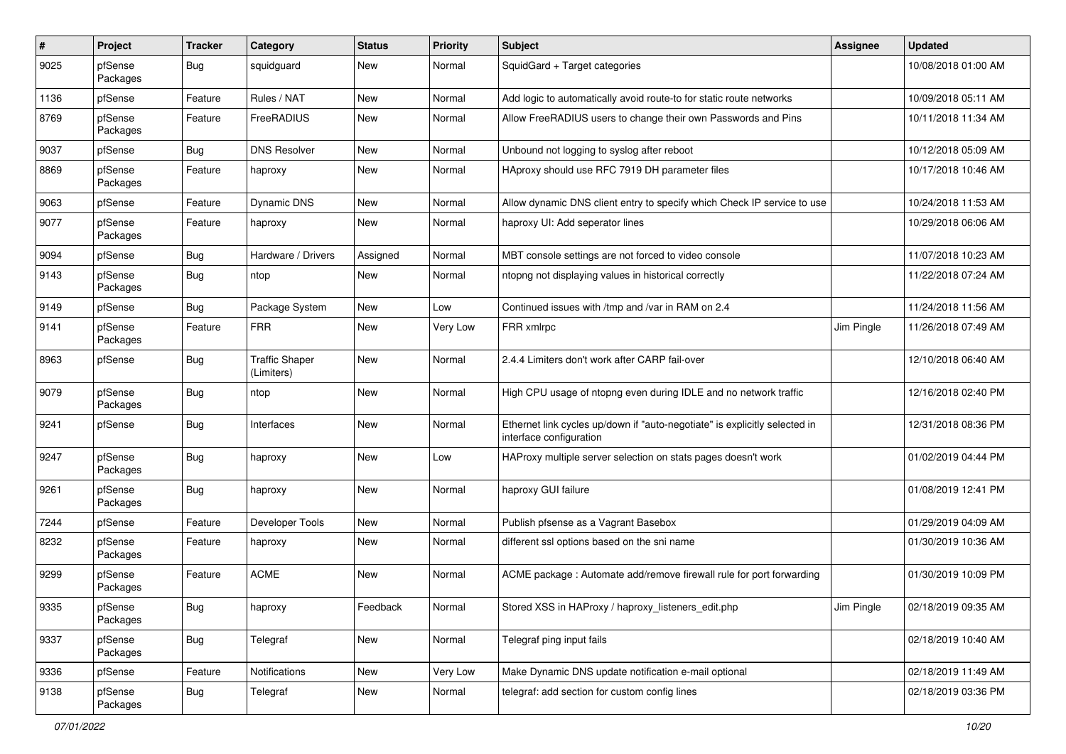| #    | Project             | <b>Tracker</b> | Category                            | <b>Status</b> | Priority | <b>Subject</b>                                                                                        | <b>Assignee</b> | <b>Updated</b>      |
|------|---------------------|----------------|-------------------------------------|---------------|----------|-------------------------------------------------------------------------------------------------------|-----------------|---------------------|
| 9025 | pfSense<br>Packages | <b>Bug</b>     | squidguard                          | New           | Normal   | SquidGard + Target categories                                                                         |                 | 10/08/2018 01:00 AM |
| 1136 | pfSense             | Feature        | Rules / NAT                         | <b>New</b>    | Normal   | Add logic to automatically avoid route-to for static route networks                                   |                 | 10/09/2018 05:11 AM |
| 8769 | pfSense<br>Packages | Feature        | FreeRADIUS                          | New           | Normal   | Allow FreeRADIUS users to change their own Passwords and Pins                                         |                 | 10/11/2018 11:34 AM |
| 9037 | pfSense             | Bug            | <b>DNS Resolver</b>                 | <b>New</b>    | Normal   | Unbound not logging to syslog after reboot                                                            |                 | 10/12/2018 05:09 AM |
| 8869 | pfSense<br>Packages | Feature        | haproxy                             | New           | Normal   | HAproxy should use RFC 7919 DH parameter files                                                        |                 | 10/17/2018 10:46 AM |
| 9063 | pfSense             | Feature        | <b>Dynamic DNS</b>                  | New           | Normal   | Allow dynamic DNS client entry to specify which Check IP service to use                               |                 | 10/24/2018 11:53 AM |
| 9077 | pfSense<br>Packages | Feature        | haproxy                             | New           | Normal   | haproxy UI: Add seperator lines                                                                       |                 | 10/29/2018 06:06 AM |
| 9094 | pfSense             | <b>Bug</b>     | Hardware / Drivers                  | Assigned      | Normal   | MBT console settings are not forced to video console                                                  |                 | 11/07/2018 10:23 AM |
| 9143 | pfSense<br>Packages | <b>Bug</b>     | ntop                                | New           | Normal   | ntopng not displaying values in historical correctly                                                  |                 | 11/22/2018 07:24 AM |
| 9149 | pfSense             | <b>Bug</b>     | Package System                      | <b>New</b>    | Low      | Continued issues with /tmp and /var in RAM on 2.4                                                     |                 | 11/24/2018 11:56 AM |
| 9141 | pfSense<br>Packages | Feature        | <b>FRR</b>                          | <b>New</b>    | Very Low | FRR xmlrpc                                                                                            | Jim Pingle      | 11/26/2018 07:49 AM |
| 8963 | pfSense             | <b>Bug</b>     | <b>Traffic Shaper</b><br>(Limiters) | <b>New</b>    | Normal   | 2.4.4 Limiters don't work after CARP fail-over                                                        |                 | 12/10/2018 06:40 AM |
| 9079 | pfSense<br>Packages | <b>Bug</b>     | ntop                                | <b>New</b>    | Normal   | High CPU usage of ntopng even during IDLE and no network traffic                                      |                 | 12/16/2018 02:40 PM |
| 9241 | pfSense             | <b>Bug</b>     | Interfaces                          | <b>New</b>    | Normal   | Ethernet link cycles up/down if "auto-negotiate" is explicitly selected in<br>interface configuration |                 | 12/31/2018 08:36 PM |
| 9247 | pfSense<br>Packages | <b>Bug</b>     | haproxy                             | <b>New</b>    | Low      | HAProxy multiple server selection on stats pages doesn't work                                         |                 | 01/02/2019 04:44 PM |
| 9261 | pfSense<br>Packages | <b>Bug</b>     | haproxy                             | New           | Normal   | haproxy GUI failure                                                                                   |                 | 01/08/2019 12:41 PM |
| 7244 | pfSense             | Feature        | Developer Tools                     | New           | Normal   | Publish pfsense as a Vagrant Basebox                                                                  |                 | 01/29/2019 04:09 AM |
| 8232 | pfSense<br>Packages | Feature        | haproxy                             | New           | Normal   | different ssl options based on the sni name                                                           |                 | 01/30/2019 10:36 AM |
| 9299 | pfSense<br>Packages | Feature        | <b>ACME</b>                         | <b>New</b>    | Normal   | ACME package: Automate add/remove firewall rule for port forwarding                                   |                 | 01/30/2019 10:09 PM |
| 9335 | pfSense<br>Packages | <b>Bug</b>     | haproxy                             | Feedback      | Normal   | Stored XSS in HAProxy / haproxy_listeners_edit.php                                                    | Jim Pingle      | 02/18/2019 09:35 AM |
| 9337 | pfSense<br>Packages | <b>Bug</b>     | Telegraf                            | New           | Normal   | Telegraf ping input fails                                                                             |                 | 02/18/2019 10:40 AM |
| 9336 | pfSense             | Feature        | Notifications                       | New           | Very Low | Make Dynamic DNS update notification e-mail optional                                                  |                 | 02/18/2019 11:49 AM |
| 9138 | pfSense<br>Packages | <b>Bug</b>     | Telegraf                            | New           | Normal   | telegraf: add section for custom config lines                                                         |                 | 02/18/2019 03:36 PM |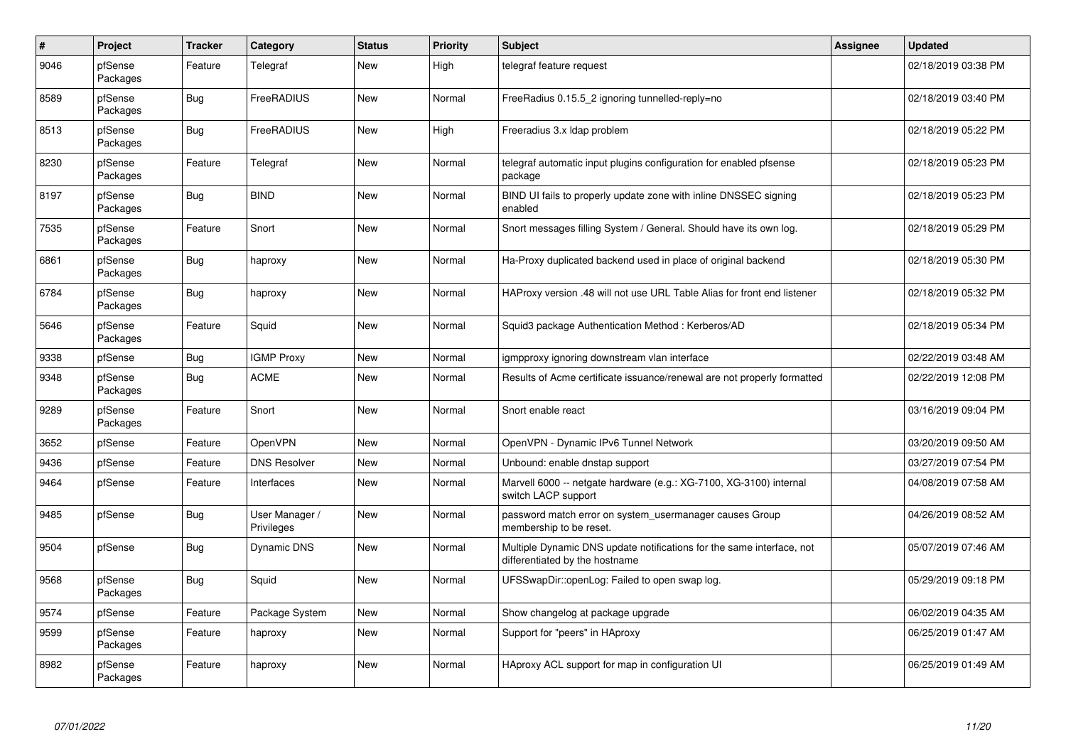| $\pmb{\#}$ | Project             | <b>Tracker</b> | Category                     | <b>Status</b> | <b>Priority</b> | <b>Subject</b>                                                                                          | <b>Assignee</b> | <b>Updated</b>      |
|------------|---------------------|----------------|------------------------------|---------------|-----------------|---------------------------------------------------------------------------------------------------------|-----------------|---------------------|
| 9046       | pfSense<br>Packages | Feature        | Telegraf                     | <b>New</b>    | High            | telegraf feature request                                                                                |                 | 02/18/2019 03:38 PM |
| 8589       | pfSense<br>Packages | <b>Bug</b>     | FreeRADIUS                   | <b>New</b>    | Normal          | FreeRadius 0.15.5 2 ignoring tunnelled-reply=no                                                         |                 | 02/18/2019 03:40 PM |
| 8513       | pfSense<br>Packages | <b>Bug</b>     | FreeRADIUS                   | <b>New</b>    | High            | Freeradius 3.x Idap problem                                                                             |                 | 02/18/2019 05:22 PM |
| 8230       | pfSense<br>Packages | Feature        | Telegraf                     | <b>New</b>    | Normal          | telegraf automatic input plugins configuration for enabled pfsense<br>package                           |                 | 02/18/2019 05:23 PM |
| 8197       | pfSense<br>Packages | <b>Bug</b>     | <b>BIND</b>                  | <b>New</b>    | Normal          | BIND UI fails to properly update zone with inline DNSSEC signing<br>enabled                             |                 | 02/18/2019 05:23 PM |
| 7535       | pfSense<br>Packages | Feature        | Snort                        | <b>New</b>    | Normal          | Snort messages filling System / General. Should have its own log.                                       |                 | 02/18/2019 05:29 PM |
| 6861       | pfSense<br>Packages | Bug            | haproxy                      | <b>New</b>    | Normal          | Ha-Proxy duplicated backend used in place of original backend                                           |                 | 02/18/2019 05:30 PM |
| 6784       | pfSense<br>Packages | <b>Bug</b>     | haproxy                      | <b>New</b>    | Normal          | HAProxy version .48 will not use URL Table Alias for front end listener                                 |                 | 02/18/2019 05:32 PM |
| 5646       | pfSense<br>Packages | Feature        | Squid                        | <b>New</b>    | Normal          | Squid3 package Authentication Method: Kerberos/AD                                                       |                 | 02/18/2019 05:34 PM |
| 9338       | pfSense             | Bug            | <b>IGMP Proxy</b>            | <b>New</b>    | Normal          | igmpproxy ignoring downstream vlan interface                                                            |                 | 02/22/2019 03:48 AM |
| 9348       | pfSense<br>Packages | <b>Bug</b>     | <b>ACME</b>                  | <b>New</b>    | Normal          | Results of Acme certificate issuance/renewal are not properly formatted                                 |                 | 02/22/2019 12:08 PM |
| 9289       | pfSense<br>Packages | Feature        | Snort                        | <b>New</b>    | Normal          | Snort enable react                                                                                      |                 | 03/16/2019 09:04 PM |
| 3652       | pfSense             | Feature        | OpenVPN                      | <b>New</b>    | Normal          | OpenVPN - Dynamic IPv6 Tunnel Network                                                                   |                 | 03/20/2019 09:50 AM |
| 9436       | pfSense             | Feature        | <b>DNS Resolver</b>          | <b>New</b>    | Normal          | Unbound: enable dnstap support                                                                          |                 | 03/27/2019 07:54 PM |
| 9464       | pfSense             | Feature        | Interfaces                   | <b>New</b>    | Normal          | Marvell 6000 -- netgate hardware (e.g.: XG-7100, XG-3100) internal<br>switch LACP support               |                 | 04/08/2019 07:58 AM |
| 9485       | pfSense             | <b>Bug</b>     | User Manager /<br>Privileges | <b>New</b>    | Normal          | password match error on system_usermanager causes Group<br>membership to be reset.                      |                 | 04/26/2019 08:52 AM |
| 9504       | pfSense             | Bug            | Dynamic DNS                  | <b>New</b>    | Normal          | Multiple Dynamic DNS update notifications for the same interface, not<br>differentiated by the hostname |                 | 05/07/2019 07:46 AM |
| 9568       | pfSense<br>Packages | <b>Bug</b>     | Squid                        | <b>New</b>    | Normal          | UFSSwapDir::openLog: Failed to open swap log.                                                           |                 | 05/29/2019 09:18 PM |
| 9574       | pfSense             | Feature        | Package System               | <b>New</b>    | Normal          | Show changelog at package upgrade                                                                       |                 | 06/02/2019 04:35 AM |
| 9599       | pfSense<br>Packages | Feature        | haproxy                      | <b>New</b>    | Normal          | Support for "peers" in HAproxy                                                                          |                 | 06/25/2019 01:47 AM |
| 8982       | pfSense<br>Packages | Feature        | haproxy                      | <b>New</b>    | Normal          | HAproxy ACL support for map in configuration UI                                                         |                 | 06/25/2019 01:49 AM |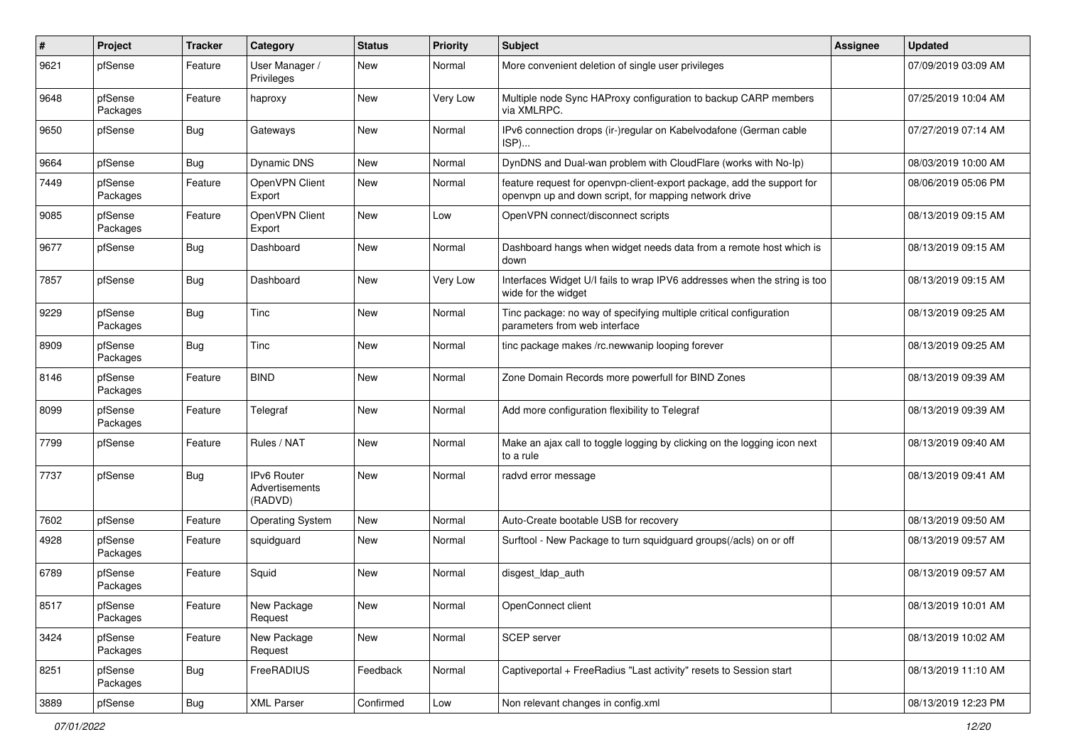| #    | Project             | <b>Tracker</b> | Category                                 | <b>Status</b> | Priority | <b>Subject</b>                                                                                                                  | <b>Assignee</b> | <b>Updated</b>      |
|------|---------------------|----------------|------------------------------------------|---------------|----------|---------------------------------------------------------------------------------------------------------------------------------|-----------------|---------------------|
| 9621 | pfSense             | Feature        | User Manager /<br>Privileges             | New           | Normal   | More convenient deletion of single user privileges                                                                              |                 | 07/09/2019 03:09 AM |
| 9648 | pfSense<br>Packages | Feature        | haproxy                                  | <b>New</b>    | Very Low | Multiple node Sync HAProxy configuration to backup CARP members<br>via XMLRPC.                                                  |                 | 07/25/2019 10:04 AM |
| 9650 | pfSense             | <b>Bug</b>     | Gateways                                 | <b>New</b>    | Normal   | IPv6 connection drops (ir-)regular on Kabelvodafone (German cable<br>ISP)                                                       |                 | 07/27/2019 07:14 AM |
| 9664 | pfSense             | <b>Bug</b>     | Dynamic DNS                              | <b>New</b>    | Normal   | DynDNS and Dual-wan problem with CloudFlare (works with No-Ip)                                                                  |                 | 08/03/2019 10:00 AM |
| 7449 | pfSense<br>Packages | Feature        | OpenVPN Client<br>Export                 | New           | Normal   | feature request for openvpn-client-export package, add the support for<br>openvpn up and down script, for mapping network drive |                 | 08/06/2019 05:06 PM |
| 9085 | pfSense<br>Packages | Feature        | OpenVPN Client<br>Export                 | New           | Low      | OpenVPN connect/disconnect scripts                                                                                              |                 | 08/13/2019 09:15 AM |
| 9677 | pfSense             | <b>Bug</b>     | Dashboard                                | New           | Normal   | Dashboard hangs when widget needs data from a remote host which is<br>down                                                      |                 | 08/13/2019 09:15 AM |
| 7857 | pfSense             | <b>Bug</b>     | Dashboard                                | <b>New</b>    | Very Low | Interfaces Widget U/I fails to wrap IPV6 addresses when the string is too<br>wide for the widget                                |                 | 08/13/2019 09:15 AM |
| 9229 | pfSense<br>Packages | <b>Bug</b>     | Tinc                                     | <b>New</b>    | Normal   | Tinc package: no way of specifying multiple critical configuration<br>parameters from web interface                             |                 | 08/13/2019 09:25 AM |
| 8909 | pfSense<br>Packages | <b>Bug</b>     | Tinc                                     | <b>New</b>    | Normal   | tinc package makes /rc.newwanip looping forever                                                                                 |                 | 08/13/2019 09:25 AM |
| 8146 | pfSense<br>Packages | Feature        | <b>BIND</b>                              | <b>New</b>    | Normal   | Zone Domain Records more powerfull for BIND Zones                                                                               |                 | 08/13/2019 09:39 AM |
| 8099 | pfSense<br>Packages | Feature        | Telegraf                                 | New           | Normal   | Add more configuration flexibility to Telegraf                                                                                  |                 | 08/13/2019 09:39 AM |
| 7799 | pfSense             | Feature        | Rules / NAT                              | <b>New</b>    | Normal   | Make an ajax call to toggle logging by clicking on the logging icon next<br>to a rule                                           |                 | 08/13/2019 09:40 AM |
| 7737 | pfSense             | <b>Bug</b>     | IPv6 Router<br>Advertisements<br>(RADVD) | <b>New</b>    | Normal   | radvd error message                                                                                                             |                 | 08/13/2019 09:41 AM |
| 7602 | pfSense             | Feature        | <b>Operating System</b>                  | <b>New</b>    | Normal   | Auto-Create bootable USB for recovery                                                                                           |                 | 08/13/2019 09:50 AM |
| 4928 | pfSense<br>Packages | Feature        | squidguard                               | <b>New</b>    | Normal   | Surftool - New Package to turn squidguard groups(/acls) on or off                                                               |                 | 08/13/2019 09:57 AM |
| 6789 | pfSense<br>Packages | Feature        | Squid                                    | <b>New</b>    | Normal   | disgest_ldap_auth                                                                                                               |                 | 08/13/2019 09:57 AM |
| 8517 | pfSense<br>Packages | Feature        | New Package<br>Request                   | New           | Normal   | OpenConnect client                                                                                                              |                 | 08/13/2019 10:01 AM |
| 3424 | pfSense<br>Packages | Feature        | New Package<br>Request                   | New           | Normal   | SCEP server                                                                                                                     |                 | 08/13/2019 10:02 AM |
| 8251 | pfSense<br>Packages | <b>Bug</b>     | FreeRADIUS                               | Feedback      | Normal   | Captiveportal + FreeRadius "Last activity" resets to Session start                                                              |                 | 08/13/2019 11:10 AM |
| 3889 | pfSense             | <b>Bug</b>     | <b>XML Parser</b>                        | Confirmed     | Low      | Non relevant changes in config.xml                                                                                              |                 | 08/13/2019 12:23 PM |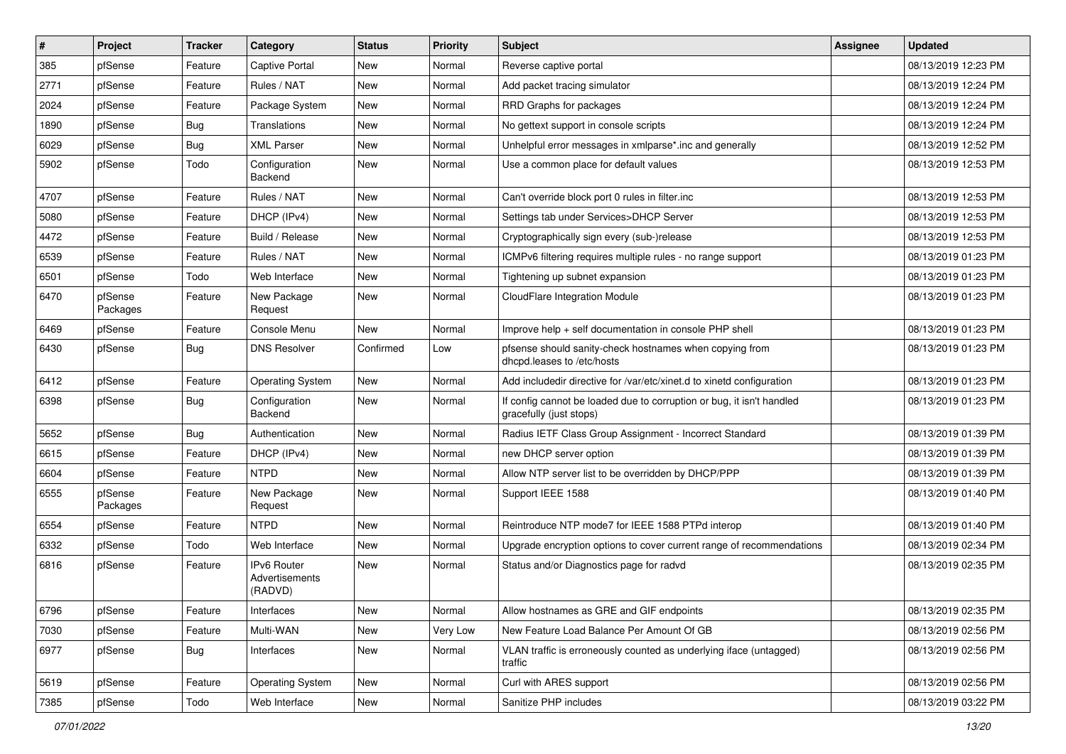| #    | Project             | <b>Tracker</b> | Category                                 | <b>Status</b> | Priority | <b>Subject</b>                                                                                   | <b>Assignee</b> | <b>Updated</b>      |
|------|---------------------|----------------|------------------------------------------|---------------|----------|--------------------------------------------------------------------------------------------------|-----------------|---------------------|
| 385  | pfSense             | Feature        | <b>Captive Portal</b>                    | New           | Normal   | Reverse captive portal                                                                           |                 | 08/13/2019 12:23 PM |
| 2771 | pfSense             | Feature        | Rules / NAT                              | <b>New</b>    | Normal   | Add packet tracing simulator                                                                     |                 | 08/13/2019 12:24 PM |
| 2024 | pfSense             | Feature        | Package System                           | New           | Normal   | RRD Graphs for packages                                                                          |                 | 08/13/2019 12:24 PM |
| 1890 | pfSense             | Bug            | Translations                             | New           | Normal   | No gettext support in console scripts                                                            |                 | 08/13/2019 12:24 PM |
| 6029 | pfSense             | <b>Bug</b>     | <b>XML Parser</b>                        | New           | Normal   | Unhelpful error messages in xmlparse*.inc and generally                                          |                 | 08/13/2019 12:52 PM |
| 5902 | pfSense             | Todo           | Configuration<br>Backend                 | New           | Normal   | Use a common place for default values                                                            |                 | 08/13/2019 12:53 PM |
| 4707 | pfSense             | Feature        | Rules / NAT                              | New           | Normal   | Can't override block port 0 rules in filter.inc                                                  |                 | 08/13/2019 12:53 PM |
| 5080 | pfSense             | Feature        | DHCP (IPv4)                              | <b>New</b>    | Normal   | Settings tab under Services>DHCP Server                                                          |                 | 08/13/2019 12:53 PM |
| 4472 | pfSense             | Feature        | Build / Release                          | New           | Normal   | Cryptographically sign every (sub-)release                                                       |                 | 08/13/2019 12:53 PM |
| 6539 | pfSense             | Feature        | Rules / NAT                              | New           | Normal   | ICMPv6 filtering requires multiple rules - no range support                                      |                 | 08/13/2019 01:23 PM |
| 6501 | pfSense             | Todo           | Web Interface                            | New           | Normal   | Tightening up subnet expansion                                                                   |                 | 08/13/2019 01:23 PM |
| 6470 | pfSense<br>Packages | Feature        | New Package<br>Request                   | New           | Normal   | CloudFlare Integration Module                                                                    |                 | 08/13/2019 01:23 PM |
| 6469 | pfSense             | Feature        | Console Menu                             | <b>New</b>    | Normal   | Improve help + self documentation in console PHP shell                                           |                 | 08/13/2019 01:23 PM |
| 6430 | pfSense             | Bug            | <b>DNS Resolver</b>                      | Confirmed     | Low      | pfsense should sanity-check hostnames when copying from<br>dhcpd.leases to /etc/hosts            |                 | 08/13/2019 01:23 PM |
| 6412 | pfSense             | Feature        | <b>Operating System</b>                  | New           | Normal   | Add includedir directive for /var/etc/xinet.d to xinetd configuration                            |                 | 08/13/2019 01:23 PM |
| 6398 | pfSense             | Bug            | Configuration<br>Backend                 | New           | Normal   | If config cannot be loaded due to corruption or bug, it isn't handled<br>gracefully (just stops) |                 | 08/13/2019 01:23 PM |
| 5652 | pfSense             | <b>Bug</b>     | Authentication                           | New           | Normal   | Radius IETF Class Group Assignment - Incorrect Standard                                          |                 | 08/13/2019 01:39 PM |
| 6615 | pfSense             | Feature        | DHCP (IPv4)                              | New           | Normal   | new DHCP server option                                                                           |                 | 08/13/2019 01:39 PM |
| 6604 | pfSense             | Feature        | <b>NTPD</b>                              | <b>New</b>    | Normal   | Allow NTP server list to be overridden by DHCP/PPP                                               |                 | 08/13/2019 01:39 PM |
| 6555 | pfSense<br>Packages | Feature        | New Package<br>Request                   | New           | Normal   | Support IEEE 1588                                                                                |                 | 08/13/2019 01:40 PM |
| 6554 | pfSense             | Feature        | <b>NTPD</b>                              | New           | Normal   | Reintroduce NTP mode7 for IEEE 1588 PTPd interop                                                 |                 | 08/13/2019 01:40 PM |
| 6332 | pfSense             | Todo           | Web Interface                            | New           | Normal   | Upgrade encryption options to cover current range of recommendations                             |                 | 08/13/2019 02:34 PM |
| 6816 | pfSense             | Feature        | IPv6 Router<br>Advertisements<br>(RADVD) | New           | Normal   | Status and/or Diagnostics page for radvd                                                         |                 | 08/13/2019 02:35 PM |
| 6796 | pfSense             | Feature        | Interfaces                               | New           | Normal   | Allow hostnames as GRE and GIF endpoints                                                         |                 | 08/13/2019 02:35 PM |
| 7030 | pfSense             | Feature        | Multi-WAN                                | New           | Very Low | New Feature Load Balance Per Amount Of GB                                                        |                 | 08/13/2019 02:56 PM |
| 6977 | pfSense             | <b>Bug</b>     | Interfaces                               | New           | Normal   | VLAN traffic is erroneously counted as underlying iface (untagged)<br>traffic                    |                 | 08/13/2019 02:56 PM |
| 5619 | pfSense             | Feature        | <b>Operating System</b>                  | New           | Normal   | Curl with ARES support                                                                           |                 | 08/13/2019 02:56 PM |
| 7385 | pfSense             | Todo           | Web Interface                            | New           | Normal   | Sanitize PHP includes                                                                            |                 | 08/13/2019 03:22 PM |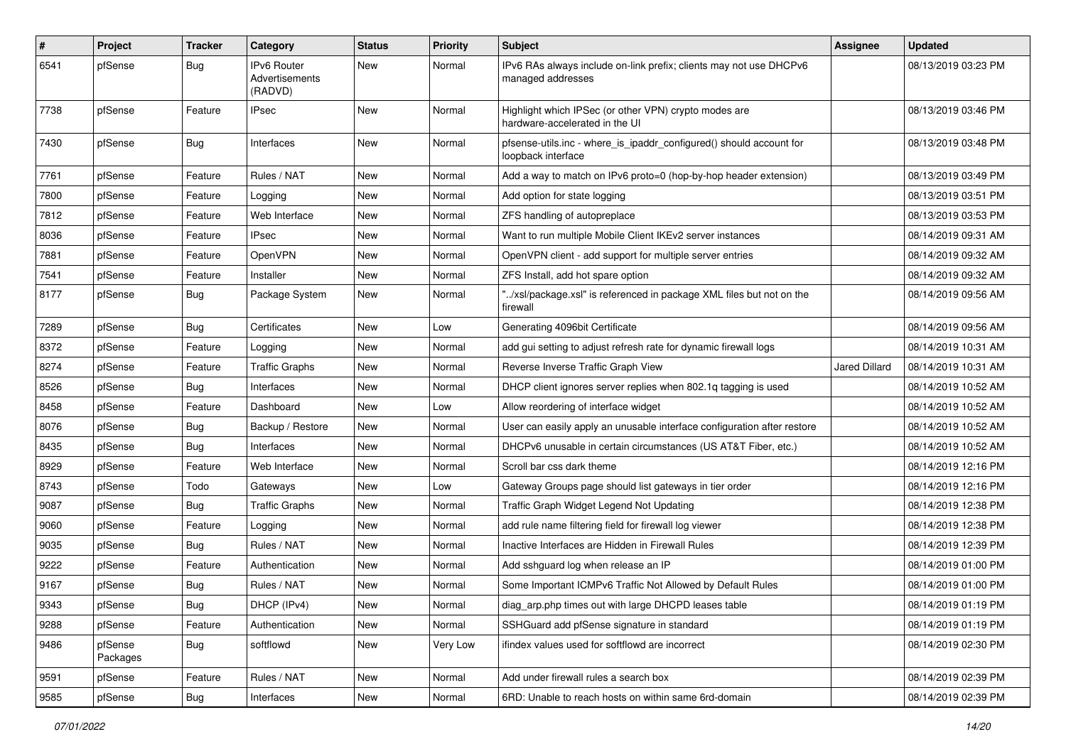| #    | Project             | <b>Tracker</b> | Category                                 | <b>Status</b> | <b>Priority</b> | <b>Subject</b>                                                                            | Assignee             | <b>Updated</b>      |
|------|---------------------|----------------|------------------------------------------|---------------|-----------------|-------------------------------------------------------------------------------------------|----------------------|---------------------|
| 6541 | pfSense             | Bug            | IPv6 Router<br>Advertisements<br>(RADVD) | New           | Normal          | IPv6 RAs always include on-link prefix; clients may not use DHCPv6<br>managed addresses   |                      | 08/13/2019 03:23 PM |
| 7738 | pfSense             | Feature        | <b>IPsec</b>                             | New           | Normal          | Highlight which IPSec (or other VPN) crypto modes are<br>hardware-accelerated in the UI   |                      | 08/13/2019 03:46 PM |
| 7430 | pfSense             | Bug            | Interfaces                               | New           | Normal          | pfsense-utils.inc - where_is_ipaddr_configured() should account for<br>loopback interface |                      | 08/13/2019 03:48 PM |
| 7761 | pfSense             | Feature        | Rules / NAT                              | New           | Normal          | Add a way to match on IPv6 proto=0 (hop-by-hop header extension)                          |                      | 08/13/2019 03:49 PM |
| 7800 | pfSense             | Feature        | Logging                                  | New           | Normal          | Add option for state logging                                                              |                      | 08/13/2019 03:51 PM |
| 7812 | pfSense             | Feature        | Web Interface                            | New           | Normal          | ZFS handling of autopreplace                                                              |                      | 08/13/2019 03:53 PM |
| 8036 | pfSense             | Feature        | <b>IPsec</b>                             | New           | Normal          | Want to run multiple Mobile Client IKEv2 server instances                                 |                      | 08/14/2019 09:31 AM |
| 7881 | pfSense             | Feature        | OpenVPN                                  | New           | Normal          | OpenVPN client - add support for multiple server entries                                  |                      | 08/14/2019 09:32 AM |
| 7541 | pfSense             | Feature        | Installer                                | New           | Normal          | ZFS Install, add hot spare option                                                         |                      | 08/14/2019 09:32 AM |
| 8177 | pfSense             | <b>Bug</b>     | Package System                           | New           | Normal          | /xsl/package.xsl" is referenced in package XML files but not on the<br>firewall           |                      | 08/14/2019 09:56 AM |
| 7289 | pfSense             | Bug            | Certificates                             | <b>New</b>    | Low             | Generating 4096bit Certificate                                                            |                      | 08/14/2019 09:56 AM |
| 8372 | pfSense             | Feature        | Logging                                  | New           | Normal          | add gui setting to adjust refresh rate for dynamic firewall logs                          |                      | 08/14/2019 10:31 AM |
| 8274 | pfSense             | Feature        | <b>Traffic Graphs</b>                    | New           | Normal          | Reverse Inverse Traffic Graph View                                                        | <b>Jared Dillard</b> | 08/14/2019 10:31 AM |
| 8526 | pfSense             | Bug            | Interfaces                               | New           | Normal          | DHCP client ignores server replies when 802.1q tagging is used                            |                      | 08/14/2019 10:52 AM |
| 8458 | pfSense             | Feature        | Dashboard                                | New           | Low             | Allow reordering of interface widget                                                      |                      | 08/14/2019 10:52 AM |
| 8076 | pfSense             | Bug            | Backup / Restore                         | New           | Normal          | User can easily apply an unusable interface configuration after restore                   |                      | 08/14/2019 10:52 AM |
| 8435 | pfSense             | Bug            | Interfaces                               | New           | Normal          | DHCPv6 unusable in certain circumstances (US AT&T Fiber, etc.)                            |                      | 08/14/2019 10:52 AM |
| 8929 | pfSense             | Feature        | Web Interface                            | New           | Normal          | Scroll bar css dark theme                                                                 |                      | 08/14/2019 12:16 PM |
| 8743 | pfSense             | Todo           | Gateways                                 | New           | Low             | Gateway Groups page should list gateways in tier order                                    |                      | 08/14/2019 12:16 PM |
| 9087 | pfSense             | Bug            | <b>Traffic Graphs</b>                    | New           | Normal          | Traffic Graph Widget Legend Not Updating                                                  |                      | 08/14/2019 12:38 PM |
| 9060 | pfSense             | Feature        | Logging                                  | New           | Normal          | add rule name filtering field for firewall log viewer                                     |                      | 08/14/2019 12:38 PM |
| 9035 | pfSense             | <b>Bug</b>     | Rules / NAT                              | New           | Normal          | Inactive Interfaces are Hidden in Firewall Rules                                          |                      | 08/14/2019 12:39 PM |
| 9222 | pfSense             | Feature        | Authentication                           | New           | Normal          | Add sshguard log when release an IP                                                       |                      | 08/14/2019 01:00 PM |
| 9167 | pfSense             | Bug            | Rules / NAT                              | New           | Normal          | Some Important ICMPv6 Traffic Not Allowed by Default Rules                                |                      | 08/14/2019 01:00 PM |
| 9343 | pfSense             | Bug            | DHCP (IPv4)                              | New           | Normal          | diag_arp.php times out with large DHCPD leases table                                      |                      | 08/14/2019 01:19 PM |
| 9288 | pfSense             | Feature        | Authentication                           | New           | Normal          | SSHGuard add pfSense signature in standard                                                |                      | 08/14/2019 01:19 PM |
| 9486 | pfSense<br>Packages | <b>Bug</b>     | softflowd                                | New           | Very Low        | ifindex values used for softflowd are incorrect                                           |                      | 08/14/2019 02:30 PM |
| 9591 | pfSense             | Feature        | Rules / NAT                              | New           | Normal          | Add under firewall rules a search box                                                     |                      | 08/14/2019 02:39 PM |
| 9585 | pfSense             | Bug            | Interfaces                               | New           | Normal          | 6RD: Unable to reach hosts on within same 6rd-domain                                      |                      | 08/14/2019 02:39 PM |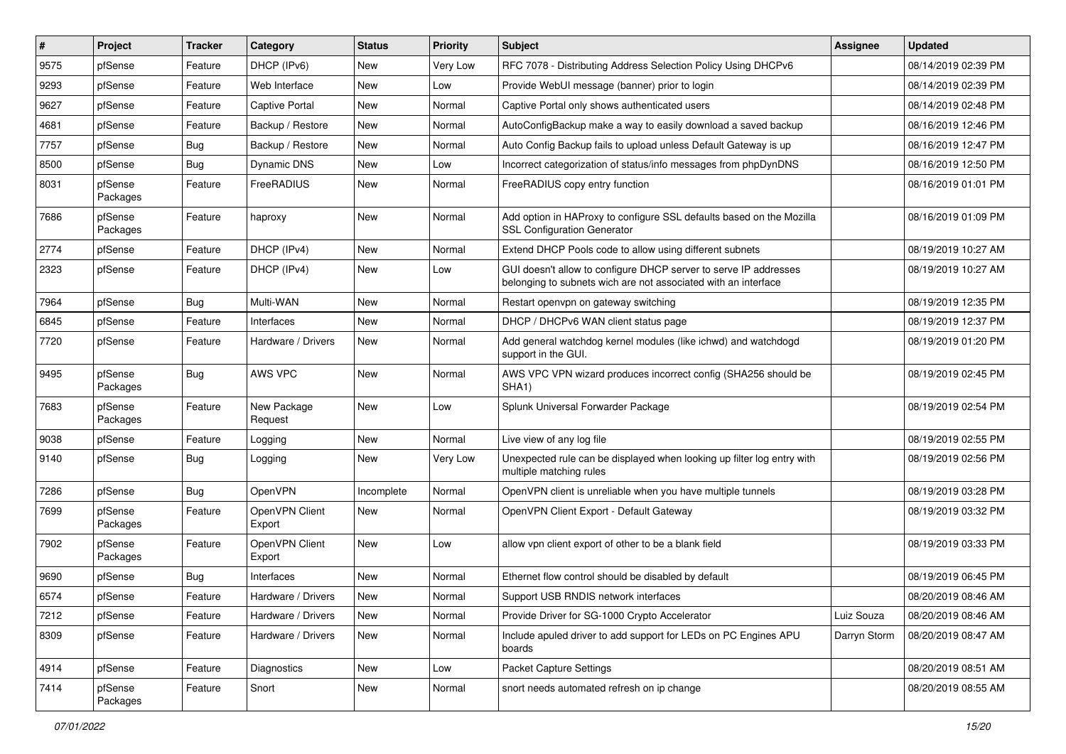| ∦    | Project             | <b>Tracker</b> | Category                 | <b>Status</b> | <b>Priority</b> | <b>Subject</b>                                                                                                                     | <b>Assignee</b> | <b>Updated</b>      |
|------|---------------------|----------------|--------------------------|---------------|-----------------|------------------------------------------------------------------------------------------------------------------------------------|-----------------|---------------------|
| 9575 | pfSense             | Feature        | DHCP (IPv6)              | New           | Very Low        | RFC 7078 - Distributing Address Selection Policy Using DHCPv6                                                                      |                 | 08/14/2019 02:39 PM |
| 9293 | pfSense             | Feature        | Web Interface            | New           | Low             | Provide WebUI message (banner) prior to login                                                                                      |                 | 08/14/2019 02:39 PM |
| 9627 | pfSense             | Feature        | Captive Portal           | New           | Normal          | Captive Portal only shows authenticated users                                                                                      |                 | 08/14/2019 02:48 PM |
| 4681 | pfSense             | Feature        | Backup / Restore         | New           | Normal          | AutoConfigBackup make a way to easily download a saved backup                                                                      |                 | 08/16/2019 12:46 PM |
| 7757 | pfSense             | Bug            | Backup / Restore         | <b>New</b>    | Normal          | Auto Config Backup fails to upload unless Default Gateway is up                                                                    |                 | 08/16/2019 12:47 PM |
| 8500 | pfSense             | Bug            | Dynamic DNS              | New           | Low             | Incorrect categorization of status/info messages from phpDynDNS                                                                    |                 | 08/16/2019 12:50 PM |
| 8031 | pfSense<br>Packages | Feature        | FreeRADIUS               | New           | Normal          | FreeRADIUS copy entry function                                                                                                     |                 | 08/16/2019 01:01 PM |
| 7686 | pfSense<br>Packages | Feature        | haproxy                  | New           | Normal          | Add option in HAProxy to configure SSL defaults based on the Mozilla<br><b>SSL Configuration Generator</b>                         |                 | 08/16/2019 01:09 PM |
| 2774 | pfSense             | Feature        | DHCP (IPv4)              | <b>New</b>    | Normal          | Extend DHCP Pools code to allow using different subnets                                                                            |                 | 08/19/2019 10:27 AM |
| 2323 | pfSense             | Feature        | DHCP (IPv4)              | New           | Low             | GUI doesn't allow to configure DHCP server to serve IP addresses<br>belonging to subnets wich are not associated with an interface |                 | 08/19/2019 10:27 AM |
| 7964 | pfSense             | Bug            | Multi-WAN                | New           | Normal          | Restart openvpn on gateway switching                                                                                               |                 | 08/19/2019 12:35 PM |
| 6845 | pfSense             | Feature        | Interfaces               | New           | Normal          | DHCP / DHCPv6 WAN client status page                                                                                               |                 | 08/19/2019 12:37 PM |
| 7720 | pfSense             | Feature        | Hardware / Drivers       | <b>New</b>    | Normal          | Add general watchdog kernel modules (like ichwd) and watchdogd<br>support in the GUI.                                              |                 | 08/19/2019 01:20 PM |
| 9495 | pfSense<br>Packages | Bug            | AWS VPC                  | <b>New</b>    | Normal          | AWS VPC VPN wizard produces incorrect config (SHA256 should be<br>SHA <sub>1</sub> )                                               |                 | 08/19/2019 02:45 PM |
| 7683 | pfSense<br>Packages | Feature        | New Package<br>Request   | <b>New</b>    | Low             | Splunk Universal Forwarder Package                                                                                                 |                 | 08/19/2019 02:54 PM |
| 9038 | pfSense             | Feature        | Logging                  | New           | Normal          | Live view of any log file                                                                                                          |                 | 08/19/2019 02:55 PM |
| 9140 | pfSense             | Bug            | Logging                  | New           | Very Low        | Unexpected rule can be displayed when looking up filter log entry with<br>multiple matching rules                                  |                 | 08/19/2019 02:56 PM |
| 7286 | pfSense             | Bug            | OpenVPN                  | Incomplete    | Normal          | OpenVPN client is unreliable when you have multiple tunnels                                                                        |                 | 08/19/2019 03:28 PM |
| 7699 | pfSense<br>Packages | Feature        | OpenVPN Client<br>Export | New           | Normal          | OpenVPN Client Export - Default Gateway                                                                                            |                 | 08/19/2019 03:32 PM |
| 7902 | pfSense<br>Packages | Feature        | OpenVPN Client<br>Export | New           | Low             | allow vpn client export of other to be a blank field                                                                               |                 | 08/19/2019 03:33 PM |
| 9690 | pfSense             | Bug            | Interfaces               | New           | Normal          | Ethernet flow control should be disabled by default                                                                                |                 | 08/19/2019 06:45 PM |
| 6574 | pfSense             | Feature        | Hardware / Drivers       | New           | Normal          | Support USB RNDIS network interfaces                                                                                               |                 | 08/20/2019 08:46 AM |
| 7212 | pfSense             | Feature        | Hardware / Drivers       | New           | Normal          | Provide Driver for SG-1000 Crypto Accelerator                                                                                      | Luiz Souza      | 08/20/2019 08:46 AM |
| 8309 | pfSense             | Feature        | Hardware / Drivers       | New           | Normal          | Include apuled driver to add support for LEDs on PC Engines APU<br>boards                                                          | Darryn Storm    | 08/20/2019 08:47 AM |
| 4914 | pfSense             | Feature        | Diagnostics              | New           | Low             | Packet Capture Settings                                                                                                            |                 | 08/20/2019 08:51 AM |
| 7414 | pfSense<br>Packages | Feature        | Snort                    | New           | Normal          | snort needs automated refresh on ip change                                                                                         |                 | 08/20/2019 08:55 AM |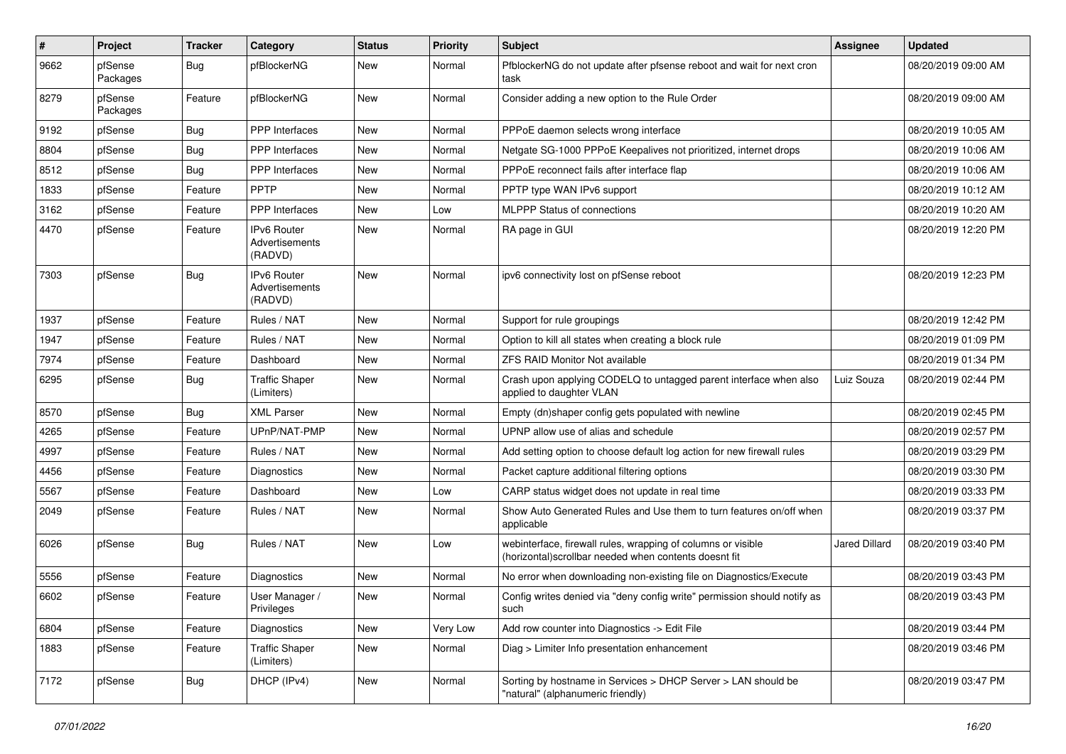| $\vert$ # | Project             | <b>Tracker</b> | Category                                        | <b>Status</b> | <b>Priority</b> | <b>Subject</b>                                                                                                        | Assignee             | <b>Updated</b>      |
|-----------|---------------------|----------------|-------------------------------------------------|---------------|-----------------|-----------------------------------------------------------------------------------------------------------------------|----------------------|---------------------|
| 9662      | pfSense<br>Packages | Bug            | pfBlockerNG                                     | New           | Normal          | PfblockerNG do not update after pfsense reboot and wait for next cron<br>task                                         |                      | 08/20/2019 09:00 AM |
| 8279      | pfSense<br>Packages | Feature        | pfBlockerNG                                     | <b>New</b>    | Normal          | Consider adding a new option to the Rule Order                                                                        |                      | 08/20/2019 09:00 AM |
| 9192      | pfSense             | Bug            | <b>PPP</b> Interfaces                           | <b>New</b>    | Normal          | PPPoE daemon selects wrong interface                                                                                  |                      | 08/20/2019 10:05 AM |
| 8804      | pfSense             | <b>Bug</b>     | <b>PPP</b> Interfaces                           | <b>New</b>    | Normal          | Netgate SG-1000 PPPoE Keepalives not prioritized, internet drops                                                      |                      | 08/20/2019 10:06 AM |
| 8512      | pfSense             | Bug            | <b>PPP</b> Interfaces                           | New           | Normal          | PPPoE reconnect fails after interface flap                                                                            |                      | 08/20/2019 10:06 AM |
| 1833      | pfSense             | Feature        | <b>PPTP</b>                                     | New           | Normal          | PPTP type WAN IPv6 support                                                                                            |                      | 08/20/2019 10:12 AM |
| 3162      | pfSense             | Feature        | PPP Interfaces                                  | <b>New</b>    | Low             | <b>MLPPP Status of connections</b>                                                                                    |                      | 08/20/2019 10:20 AM |
| 4470      | pfSense             | Feature        | <b>IPv6 Router</b><br>Advertisements<br>(RADVD) | New           | Normal          | RA page in GUI                                                                                                        |                      | 08/20/2019 12:20 PM |
| 7303      | pfSense             | Bug            | <b>IPv6 Router</b><br>Advertisements<br>(RADVD) | New           | Normal          | ipv6 connectivity lost on pfSense reboot                                                                              |                      | 08/20/2019 12:23 PM |
| 1937      | pfSense             | Feature        | Rules / NAT                                     | <b>New</b>    | Normal          | Support for rule groupings                                                                                            |                      | 08/20/2019 12:42 PM |
| 1947      | pfSense             | Feature        | Rules / NAT                                     | New           | Normal          | Option to kill all states when creating a block rule                                                                  |                      | 08/20/2019 01:09 PM |
| 7974      | pfSense             | Feature        | Dashboard                                       | <b>New</b>    | Normal          | <b>ZFS RAID Monitor Not available</b>                                                                                 |                      | 08/20/2019 01:34 PM |
| 6295      | pfSense             | Bug            | <b>Traffic Shaper</b><br>(Limiters)             | New           | Normal          | Crash upon applying CODELQ to untagged parent interface when also<br>applied to daughter VLAN                         | Luiz Souza           | 08/20/2019 02:44 PM |
| 8570      | pfSense             | Bug            | <b>XML Parser</b>                               | <b>New</b>    | Normal          | Empty (dn)shaper config gets populated with newline                                                                   |                      | 08/20/2019 02:45 PM |
| 4265      | pfSense             | Feature        | UPnP/NAT-PMP                                    | New           | Normal          | UPNP allow use of alias and schedule                                                                                  |                      | 08/20/2019 02:57 PM |
| 4997      | pfSense             | Feature        | Rules / NAT                                     | New           | Normal          | Add setting option to choose default log action for new firewall rules                                                |                      | 08/20/2019 03:29 PM |
| 4456      | pfSense             | Feature        | Diagnostics                                     | <b>New</b>    | Normal          | Packet capture additional filtering options                                                                           |                      | 08/20/2019 03:30 PM |
| 5567      | pfSense             | Feature        | Dashboard                                       | New           | Low             | CARP status widget does not update in real time                                                                       |                      | 08/20/2019 03:33 PM |
| 2049      | pfSense             | Feature        | Rules / NAT                                     | New           | Normal          | Show Auto Generated Rules and Use them to turn features on/off when<br>applicable                                     |                      | 08/20/2019 03:37 PM |
| 6026      | pfSense             | Bug            | Rules / NAT                                     | <b>New</b>    | Low             | webinterface, firewall rules, wrapping of columns or visible<br>(horizontal)scrollbar needed when contents doesnt fit | <b>Jared Dillard</b> | 08/20/2019 03:40 PM |
| 5556      | pfSense             | Feature        | Diagnostics                                     | New           | Normal          | No error when downloading non-existing file on Diagnostics/Execute                                                    |                      | 08/20/2019 03:43 PM |
| 6602      | pfSense             | Feature        | User Manager /<br>Privileges                    | New           | Normal          | Config writes denied via "deny config write" permission should notify as<br>such                                      |                      | 08/20/2019 03:43 PM |
| 6804      | pfSense             | Feature        | Diagnostics                                     | New           | Very Low        | Add row counter into Diagnostics -> Edit File                                                                         |                      | 08/20/2019 03:44 PM |
| 1883      | pfSense             | Feature        | <b>Traffic Shaper</b><br>(Limiters)             | New           | Normal          | Diag > Limiter Info presentation enhancement                                                                          |                      | 08/20/2019 03:46 PM |
| 7172      | pfSense             | <b>Bug</b>     | DHCP (IPv4)                                     | New           | Normal          | Sorting by hostname in Services > DHCP Server > LAN should be<br>"natural" (alphanumeric friendly)                    |                      | 08/20/2019 03:47 PM |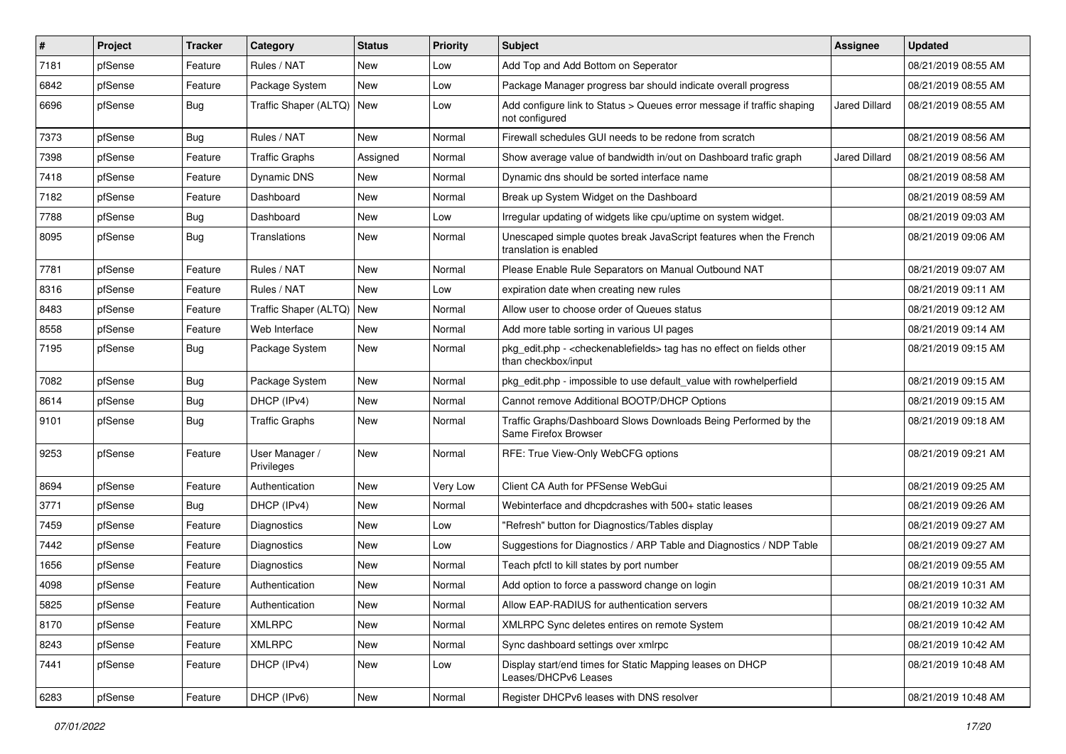| #    | Project | <b>Tracker</b> | Category                     | <b>Status</b> | Priority | <b>Subject</b>                                                                                                   | <b>Assignee</b>      | <b>Updated</b>      |
|------|---------|----------------|------------------------------|---------------|----------|------------------------------------------------------------------------------------------------------------------|----------------------|---------------------|
| 7181 | pfSense | Feature        | Rules / NAT                  | New           | Low      | Add Top and Add Bottom on Seperator                                                                              |                      | 08/21/2019 08:55 AM |
| 6842 | pfSense | Feature        | Package System               | <b>New</b>    | Low      | Package Manager progress bar should indicate overall progress                                                    |                      | 08/21/2019 08:55 AM |
| 6696 | pfSense | Bug            | Traffic Shaper (ALTQ)   New  |               | Low      | Add configure link to Status > Queues error message if traffic shaping<br>not configured                         | <b>Jared Dillard</b> | 08/21/2019 08:55 AM |
| 7373 | pfSense | Bug            | Rules / NAT                  | New           | Normal   | Firewall schedules GUI needs to be redone from scratch                                                           |                      | 08/21/2019 08:56 AM |
| 7398 | pfSense | Feature        | <b>Traffic Graphs</b>        | Assigned      | Normal   | Show average value of bandwidth in/out on Dashboard trafic graph                                                 | Jared Dillard        | 08/21/2019 08:56 AM |
| 7418 | pfSense | Feature        | Dynamic DNS                  | New           | Normal   | Dynamic dns should be sorted interface name                                                                      |                      | 08/21/2019 08:58 AM |
| 7182 | pfSense | Feature        | Dashboard                    | New           | Normal   | Break up System Widget on the Dashboard                                                                          |                      | 08/21/2019 08:59 AM |
| 7788 | pfSense | Bug            | Dashboard                    | New           | Low      | Irregular updating of widgets like cpu/uptime on system widget.                                                  |                      | 08/21/2019 09:03 AM |
| 8095 | pfSense | Bug            | Translations                 | New           | Normal   | Unescaped simple quotes break JavaScript features when the French<br>translation is enabled                      |                      | 08/21/2019 09:06 AM |
| 7781 | pfSense | Feature        | Rules / NAT                  | New           | Normal   | Please Enable Rule Separators on Manual Outbound NAT                                                             |                      | 08/21/2019 09:07 AM |
| 8316 | pfSense | Feature        | Rules / NAT                  | New           | Low      | expiration date when creating new rules                                                                          |                      | 08/21/2019 09:11 AM |
| 8483 | pfSense | Feature        | Traffic Shaper (ALTQ)   New  |               | Normal   | Allow user to choose order of Queues status                                                                      |                      | 08/21/2019 09:12 AM |
| 8558 | pfSense | Feature        | Web Interface                | <b>New</b>    | Normal   | Add more table sorting in various UI pages                                                                       |                      | 08/21/2019 09:14 AM |
| 7195 | pfSense | Bug            | Package System               | New           | Normal   | pkg_edit.php - <checkenablefields> tag has no effect on fields other<br/>than checkbox/input</checkenablefields> |                      | 08/21/2019 09:15 AM |
| 7082 | pfSense | <b>Bug</b>     | Package System               | New           | Normal   | pkg edit.php - impossible to use default value with rowhelperfield                                               |                      | 08/21/2019 09:15 AM |
| 8614 | pfSense | <b>Bug</b>     | DHCP (IPv4)                  | New           | Normal   | Cannot remove Additional BOOTP/DHCP Options                                                                      |                      | 08/21/2019 09:15 AM |
| 9101 | pfSense | Bug            | <b>Traffic Graphs</b>        | New           | Normal   | Traffic Graphs/Dashboard Slows Downloads Being Performed by the<br>Same Firefox Browser                          |                      | 08/21/2019 09:18 AM |
| 9253 | pfSense | Feature        | User Manager /<br>Privileges | New           | Normal   | RFE: True View-Only WebCFG options                                                                               |                      | 08/21/2019 09:21 AM |
| 8694 | pfSense | Feature        | Authentication               | New           | Very Low | Client CA Auth for PFSense WebGui                                                                                |                      | 08/21/2019 09:25 AM |
| 3771 | pfSense | Bug            | DHCP (IPv4)                  | New           | Normal   | Webinterface and dhcpdcrashes with 500+ static leases                                                            |                      | 08/21/2019 09:26 AM |
| 7459 | pfSense | Feature        | Diagnostics                  | <b>New</b>    | Low      | "Refresh" button for Diagnostics/Tables display                                                                  |                      | 08/21/2019 09:27 AM |
| 7442 | pfSense | Feature        | <b>Diagnostics</b>           | New           | Low      | Suggestions for Diagnostics / ARP Table and Diagnostics / NDP Table                                              |                      | 08/21/2019 09:27 AM |
| 1656 | pfSense | Feature        | <b>Diagnostics</b>           | New           | Normal   | Teach pfctl to kill states by port number                                                                        |                      | 08/21/2019 09:55 AM |
| 4098 | pfSense | Feature        | Authentication               | <b>New</b>    | Normal   | Add option to force a password change on login                                                                   |                      | 08/21/2019 10:31 AM |
| 5825 | ptSense | Feature        | Authentication               | New           | Normal   | Allow EAP-RADIUS for authentication servers                                                                      |                      | 08/21/2019 10:32 AM |
| 8170 | pfSense | Feature        | <b>XMLRPC</b>                | New           | Normal   | XMLRPC Sync deletes entires on remote System                                                                     |                      | 08/21/2019 10:42 AM |
| 8243 | pfSense | Feature        | <b>XMLRPC</b>                | New           | Normal   | Sync dashboard settings over xmlrpc                                                                              |                      | 08/21/2019 10:42 AM |
| 7441 | pfSense | Feature        | DHCP (IPv4)                  | New           | Low      | Display start/end times for Static Mapping leases on DHCP<br>Leases/DHCPv6 Leases                                |                      | 08/21/2019 10:48 AM |
| 6283 | pfSense | Feature        | DHCP (IPv6)                  | New           | Normal   | Register DHCPv6 leases with DNS resolver                                                                         |                      | 08/21/2019 10:48 AM |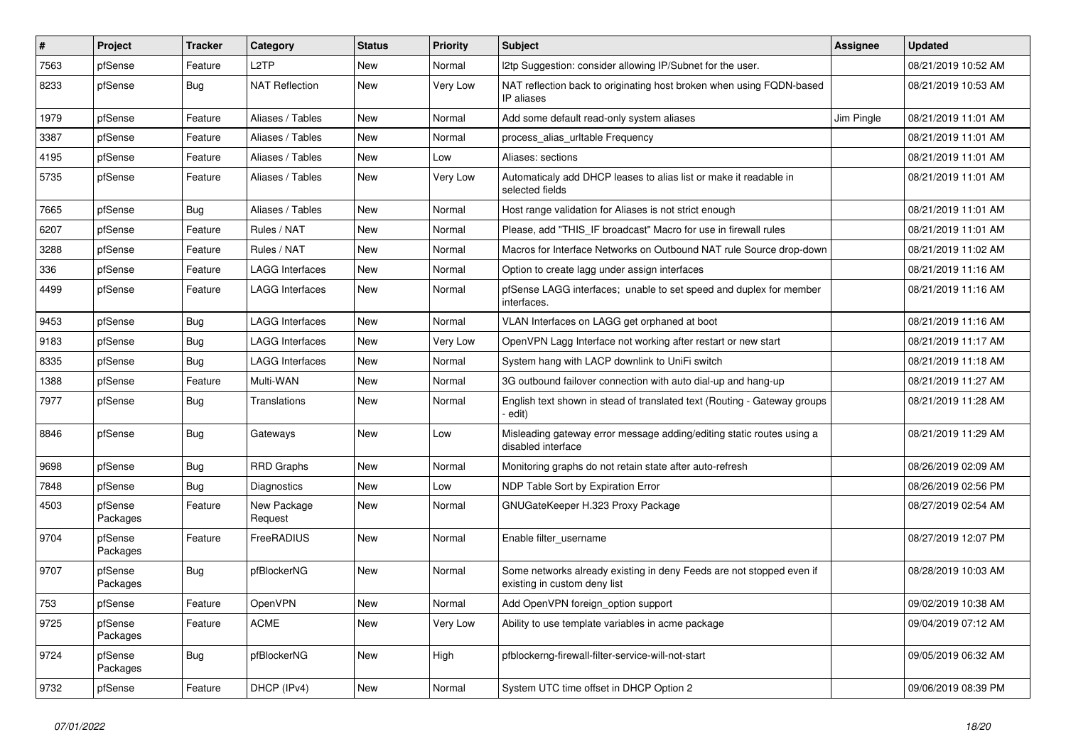| #    | Project             | <b>Tracker</b> | Category               | <b>Status</b> | <b>Priority</b> | <b>Subject</b>                                                                                       | <b>Assignee</b> | <b>Updated</b>      |
|------|---------------------|----------------|------------------------|---------------|-----------------|------------------------------------------------------------------------------------------------------|-----------------|---------------------|
| 7563 | pfSense             | Feature        | L <sub>2</sub> TP      | New           | Normal          | I2tp Suggestion: consider allowing IP/Subnet for the user.                                           |                 | 08/21/2019 10:52 AM |
| 8233 | pfSense             | Bug            | <b>NAT Reflection</b>  | New           | Very Low        | NAT reflection back to originating host broken when using FQDN-based<br>IP aliases                   |                 | 08/21/2019 10:53 AM |
| 1979 | pfSense             | Feature        | Aliases / Tables       | New           | Normal          | Add some default read-only system aliases                                                            | Jim Pingle      | 08/21/2019 11:01 AM |
| 3387 | pfSense             | Feature        | Aliases / Tables       | New           | Normal          | process_alias_urItable Frequency                                                                     |                 | 08/21/2019 11:01 AM |
| 4195 | pfSense             | Feature        | Aliases / Tables       | New           | Low             | Aliases: sections                                                                                    |                 | 08/21/2019 11:01 AM |
| 5735 | pfSense             | Feature        | Aliases / Tables       | New           | Very Low        | Automaticaly add DHCP leases to alias list or make it readable in<br>selected fields                 |                 | 08/21/2019 11:01 AM |
| 7665 | pfSense             | Bug            | Aliases / Tables       | New           | Normal          | Host range validation for Aliases is not strict enough                                               |                 | 08/21/2019 11:01 AM |
| 6207 | pfSense             | Feature        | Rules / NAT            | <b>New</b>    | Normal          | Please, add "THIS_IF broadcast" Macro for use in firewall rules                                      |                 | 08/21/2019 11:01 AM |
| 3288 | pfSense             | Feature        | Rules / NAT            | New           | Normal          | Macros for Interface Networks on Outbound NAT rule Source drop-down                                  |                 | 08/21/2019 11:02 AM |
| 336  | pfSense             | Feature        | <b>LAGG Interfaces</b> | New           | Normal          | Option to create lagg under assign interfaces                                                        |                 | 08/21/2019 11:16 AM |
| 4499 | pfSense             | Feature        | <b>LAGG Interfaces</b> | New           | Normal          | pfSense LAGG interfaces; unable to set speed and duplex for member<br>interfaces.                    |                 | 08/21/2019 11:16 AM |
| 9453 | pfSense             | <b>Bug</b>     | <b>LAGG Interfaces</b> | New           | Normal          | VLAN Interfaces on LAGG get orphaned at boot                                                         |                 | 08/21/2019 11:16 AM |
| 9183 | pfSense             | Bug            | <b>LAGG Interfaces</b> | New           | Very Low        | OpenVPN Lagg Interface not working after restart or new start                                        |                 | 08/21/2019 11:17 AM |
| 8335 | pfSense             | Bug            | LAGG Interfaces        | New           | Normal          | System hang with LACP downlink to UniFi switch                                                       |                 | 08/21/2019 11:18 AM |
| 1388 | pfSense             | Feature        | Multi-WAN              | New           | Normal          | 3G outbound failover connection with auto dial-up and hang-up                                        |                 | 08/21/2019 11:27 AM |
| 7977 | pfSense             | Bug            | Translations           | New           | Normal          | English text shown in stead of translated text (Routing - Gateway groups<br>edit)                    |                 | 08/21/2019 11:28 AM |
| 8846 | pfSense             | Bug            | Gateways               | <b>New</b>    | Low             | Misleading gateway error message adding/editing static routes using a<br>disabled interface          |                 | 08/21/2019 11:29 AM |
| 9698 | pfSense             | <b>Bug</b>     | <b>RRD Graphs</b>      | <b>New</b>    | Normal          | Monitoring graphs do not retain state after auto-refresh                                             |                 | 08/26/2019 02:09 AM |
| 7848 | pfSense             | Bug            | <b>Diagnostics</b>     | New           | Low             | NDP Table Sort by Expiration Error                                                                   |                 | 08/26/2019 02:56 PM |
| 4503 | pfSense<br>Packages | Feature        | New Package<br>Request | New           | Normal          | GNUGateKeeper H.323 Proxy Package                                                                    |                 | 08/27/2019 02:54 AM |
| 9704 | pfSense<br>Packages | Feature        | FreeRADIUS             | New           | Normal          | Enable filter username                                                                               |                 | 08/27/2019 12:07 PM |
| 9707 | pfSense<br>Packages | Bug            | pfBlockerNG            | New           | Normal          | Some networks already existing in deny Feeds are not stopped even if<br>existing in custom deny list |                 | 08/28/2019 10:03 AM |
| 753  | pfSense             | Feature        | OpenVPN                | New           | Normal          | Add OpenVPN foreign_option support                                                                   |                 | 09/02/2019 10:38 AM |
| 9725 | pfSense<br>Packages | Feature        | ACME                   | New           | Very Low        | Ability to use template variables in acme package                                                    |                 | 09/04/2019 07:12 AM |
| 9724 | pfSense<br>Packages | <b>Bug</b>     | pfBlockerNG            | New           | High            | pfblockerng-firewall-filter-service-will-not-start                                                   |                 | 09/05/2019 06:32 AM |
| 9732 | pfSense             | Feature        | DHCP (IPv4)            | New           | Normal          | System UTC time offset in DHCP Option 2                                                              |                 | 09/06/2019 08:39 PM |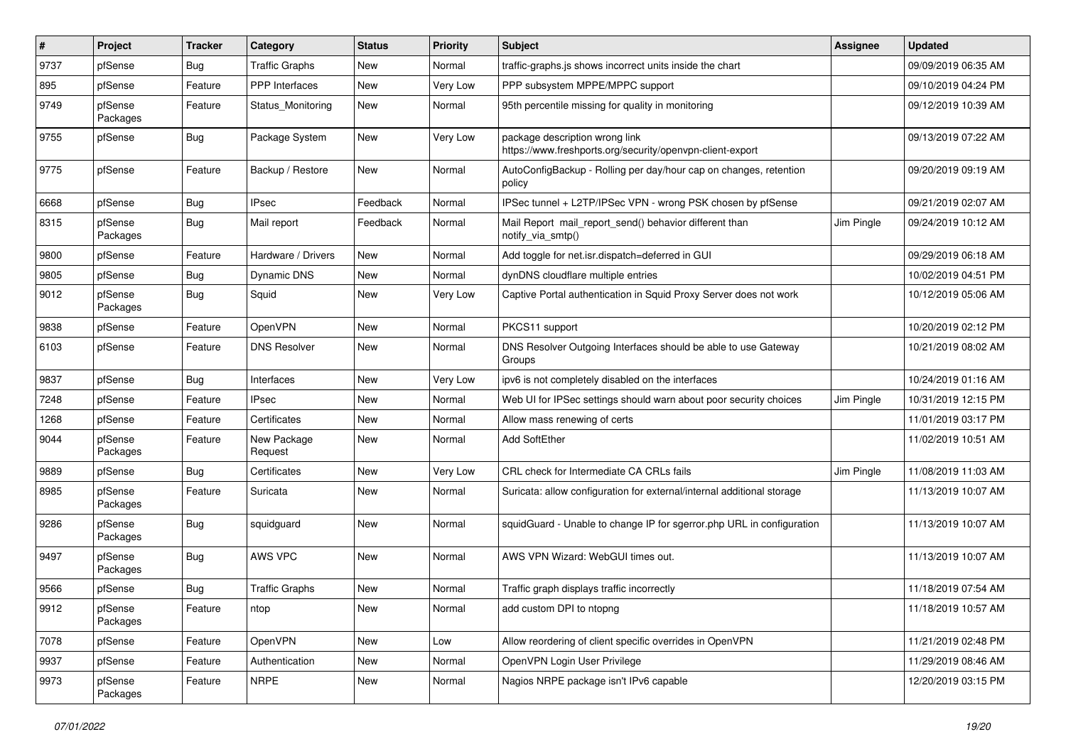| #    | Project             | <b>Tracker</b> | Category               | <b>Status</b> | <b>Priority</b> | <b>Subject</b>                                                                              | <b>Assignee</b> | <b>Updated</b>      |
|------|---------------------|----------------|------------------------|---------------|-----------------|---------------------------------------------------------------------------------------------|-----------------|---------------------|
| 9737 | pfSense             | Bug            | <b>Traffic Graphs</b>  | New           | Normal          | traffic-graphs.js shows incorrect units inside the chart                                    |                 | 09/09/2019 06:35 AM |
| 895  | pfSense             | Feature        | <b>PPP</b> Interfaces  | <b>New</b>    | Very Low        | PPP subsystem MPPE/MPPC support                                                             |                 | 09/10/2019 04:24 PM |
| 9749 | pfSense<br>Packages | Feature        | Status_Monitoring      | New           | Normal          | 95th percentile missing for quality in monitoring                                           |                 | 09/12/2019 10:39 AM |
| 9755 | pfSense             | Bug            | Package System         | New           | Very Low        | package description wrong link<br>https://www.freshports.org/security/openvpn-client-export |                 | 09/13/2019 07:22 AM |
| 9775 | pfSense             | Feature        | Backup / Restore       | New           | Normal          | AutoConfigBackup - Rolling per day/hour cap on changes, retention<br>policy                 |                 | 09/20/2019 09:19 AM |
| 6668 | pfSense             | Bug            | <b>IPsec</b>           | Feedback      | Normal          | IPSec tunnel + L2TP/IPSec VPN - wrong PSK chosen by pfSense                                 |                 | 09/21/2019 02:07 AM |
| 8315 | pfSense<br>Packages | Bug            | Mail report            | Feedback      | Normal          | Mail Report mail report send() behavior different than<br>notify via smtp()                 | Jim Pingle      | 09/24/2019 10:12 AM |
| 9800 | pfSense             | Feature        | Hardware / Drivers     | <b>New</b>    | Normal          | Add toggle for net.isr.dispatch=deferred in GUI                                             |                 | 09/29/2019 06:18 AM |
| 9805 | pfSense             | Bug            | Dynamic DNS            | New           | Normal          | dynDNS cloudflare multiple entries                                                          |                 | 10/02/2019 04:51 PM |
| 9012 | pfSense<br>Packages | Bug            | Squid                  | New           | Very Low        | Captive Portal authentication in Squid Proxy Server does not work                           |                 | 10/12/2019 05:06 AM |
| 9838 | pfSense             | Feature        | OpenVPN                | New           | Normal          | PKCS11 support                                                                              |                 | 10/20/2019 02:12 PM |
| 6103 | pfSense             | Feature        | <b>DNS Resolver</b>    | New           | Normal          | DNS Resolver Outgoing Interfaces should be able to use Gateway<br>Groups                    |                 | 10/21/2019 08:02 AM |
| 9837 | pfSense             | Bug            | Interfaces             | New           | Very Low        | ipv6 is not completely disabled on the interfaces                                           |                 | 10/24/2019 01:16 AM |
| 7248 | pfSense             | Feature        | <b>IPsec</b>           | New           | Normal          | Web UI for IPSec settings should warn about poor security choices                           | Jim Pingle      | 10/31/2019 12:15 PM |
| 1268 | pfSense             | Feature        | Certificates           | New           | Normal          | Allow mass renewing of certs                                                                |                 | 11/01/2019 03:17 PM |
| 9044 | pfSense<br>Packages | Feature        | New Package<br>Request | New           | Normal          | Add SoftEther                                                                               |                 | 11/02/2019 10:51 AM |
| 9889 | pfSense             | Bug            | Certificates           | New           | Very Low        | CRL check for Intermediate CA CRLs fails                                                    | Jim Pingle      | 11/08/2019 11:03 AM |
| 8985 | pfSense<br>Packages | Feature        | Suricata               | New           | Normal          | Suricata: allow configuration for external/internal additional storage                      |                 | 11/13/2019 10:07 AM |
| 9286 | pfSense<br>Packages | Bug            | squidguard             | <b>New</b>    | Normal          | squidGuard - Unable to change IP for sgerror.php URL in configuration                       |                 | 11/13/2019 10:07 AM |
| 9497 | pfSense<br>Packages | <b>Bug</b>     | AWS VPC                | New           | Normal          | AWS VPN Wizard: WebGUI times out.                                                           |                 | 11/13/2019 10:07 AM |
| 9566 | pfSense             | Bug            | <b>Traffic Graphs</b>  | New           | Normal          | Traffic graph displays traffic incorrectly                                                  |                 | 11/18/2019 07:54 AM |
| 9912 | pfSense<br>Packages | Feature        | ntop                   | New           | Normal          | add custom DPI to ntopng                                                                    |                 | 11/18/2019 10:57 AM |
| 7078 | pfSense             | Feature        | OpenVPN                | New           | Low             | Allow reordering of client specific overrides in OpenVPN                                    |                 | 11/21/2019 02:48 PM |
| 9937 | pfSense             | Feature        | Authentication         | New           | Normal          | OpenVPN Login User Privilege                                                                |                 | 11/29/2019 08:46 AM |
| 9973 | pfSense<br>Packages | Feature        | <b>NRPE</b>            | New           | Normal          | Nagios NRPE package isn't IPv6 capable                                                      |                 | 12/20/2019 03:15 PM |